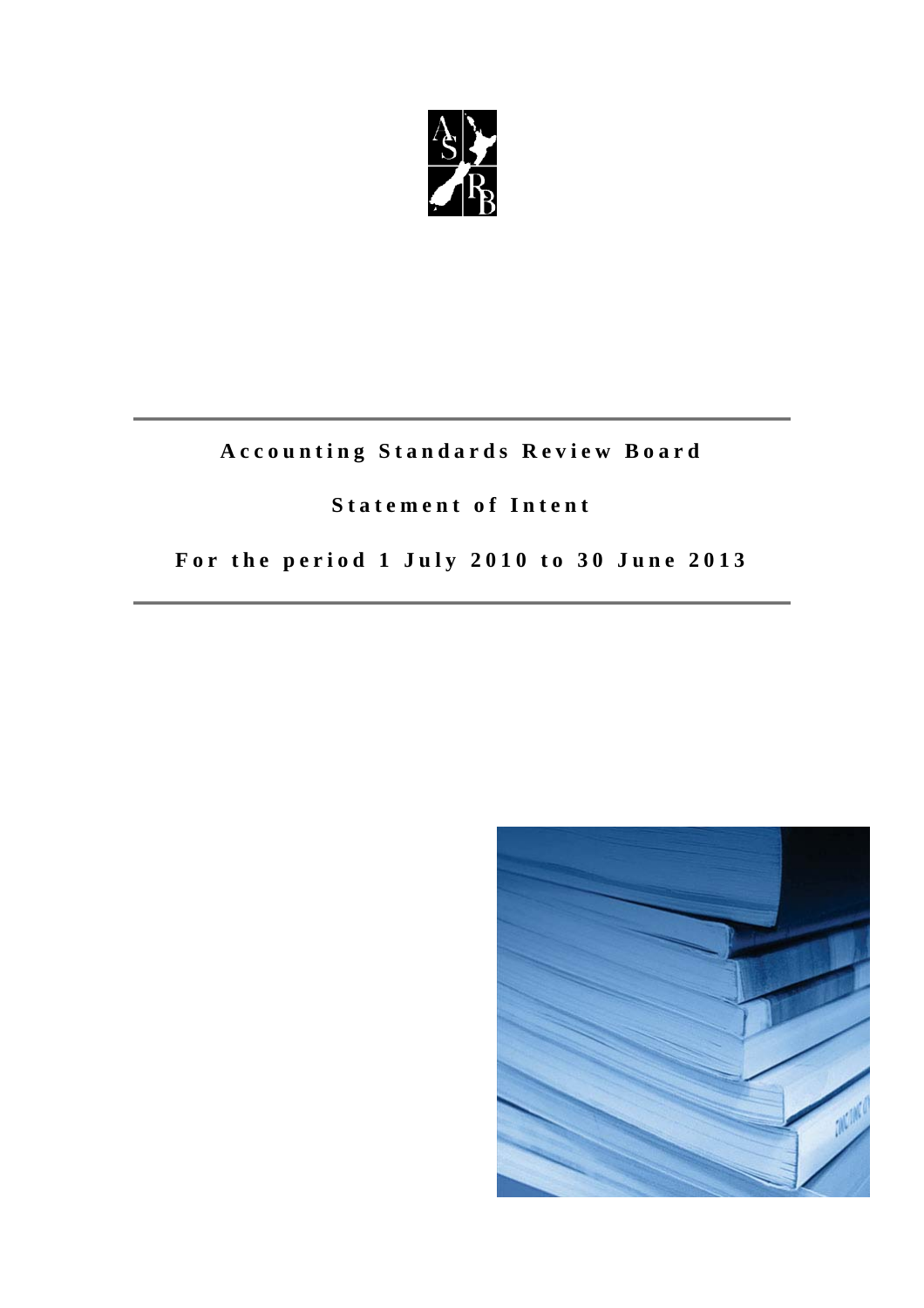

# **Accounting Standards Review Board**

## **Statement of Intent**

# **For the period 1 July 2010 to 30 June 2013**

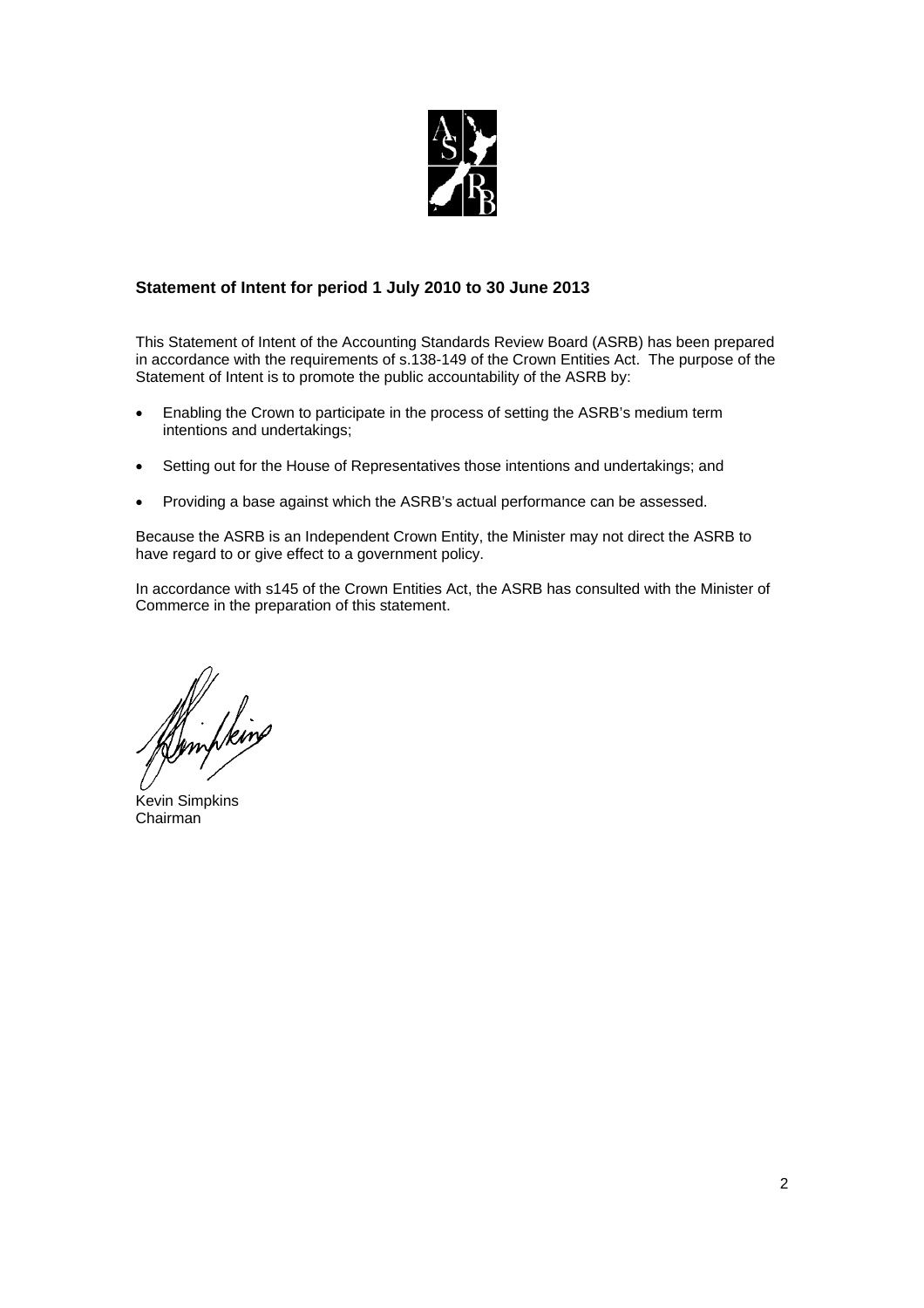

## **Statement of Intent for period 1 July 2010 to 30 June 2013**

This Statement of Intent of the Accounting Standards Review Board (ASRB) has been prepared in accordance with the requirements of s.138-149 of the Crown Entities Act. The purpose of the Statement of Intent is to promote the public accountability of the ASRB by:

- Enabling the Crown to participate in the process of setting the ASRB's medium term intentions and undertakings;
- Setting out for the House of Representatives those intentions and undertakings; and
- Providing a base against which the ASRB's actual performance can be assessed.

Because the ASRB is an Independent Crown Entity, the Minister may not direct the ASRB to have regard to or give effect to a government policy.

In accordance with s145 of the Crown Entities Act, the ASRB has consulted with the Minister of Commerce in the preparation of this statement.

M. Iking

Kevin Simpkins Chairman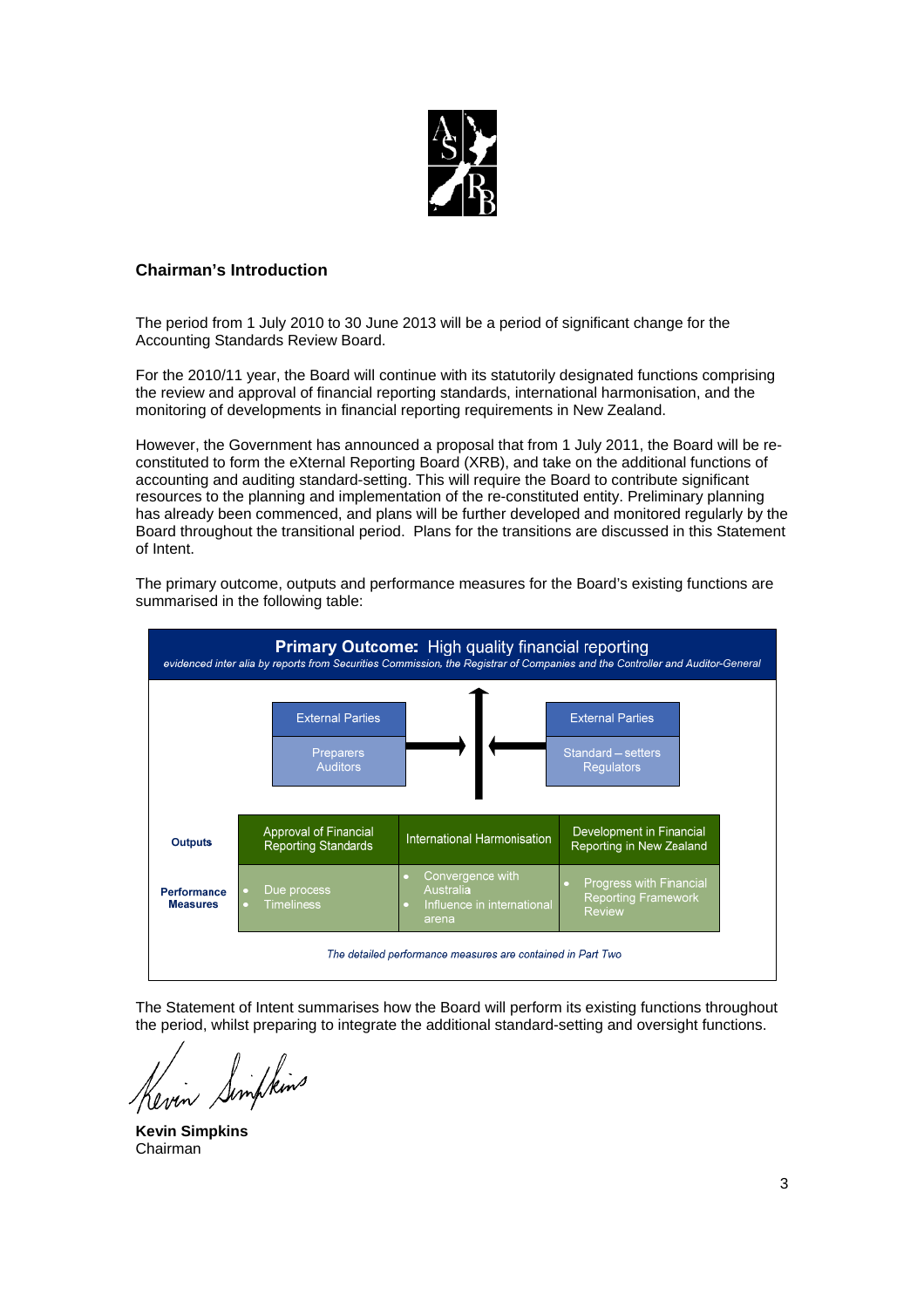

## **Chairman's Introduction**

The period from 1 July 2010 to 30 June 2013 will be a period of significant change for the Accounting Standards Review Board.

For the 2010/11 year, the Board will continue with its statutorily designated functions comprising the review and approval of financial reporting standards, international harmonisation, and the monitoring of developments in financial reporting requirements in New Zealand.

However, the Government has announced a proposal that from 1 July 2011, the Board will be reconstituted to form the eXternal Reporting Board (XRB), and take on the additional functions of accounting and auditing standard-setting. This will require the Board to contribute significant resources to the planning and implementation of the re-constituted entity. Preliminary planning has already been commenced, and plans will be further developed and monitored regularly by the Board throughout the transitional period. Plans for the transitions are discussed in this Statement of Intent.



The primary outcome, outputs and performance measures for the Board's existing functions are summarised in the following table:

The Statement of Intent summarises how the Board will perform its existing functions throughout the period, whilst preparing to integrate the additional standard-setting and oversight functions.

Kevin Simpleins

**Kevin Simpkins**  Chairman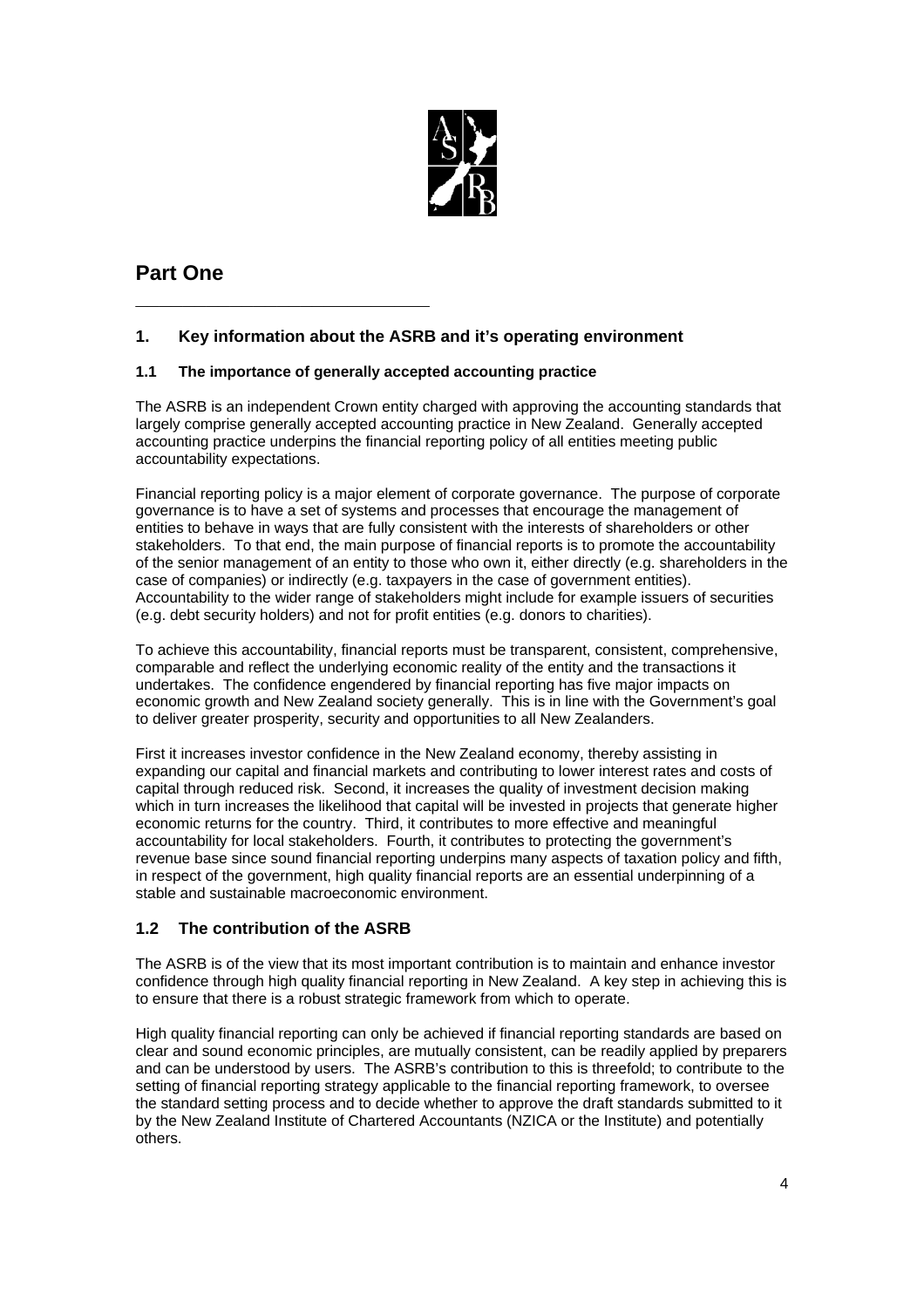

## **Part One**

## **1. Key information about the ASRB and it's operating environment**

## **1.1 The importance of generally accepted accounting practice**

**\_\_\_\_\_\_\_\_\_\_\_\_\_\_\_\_\_\_\_\_\_\_\_\_\_**

The ASRB is an independent Crown entity charged with approving the accounting standards that largely comprise generally accepted accounting practice in New Zealand. Generally accepted accounting practice underpins the financial reporting policy of all entities meeting public accountability expectations.

Financial reporting policy is a major element of corporate governance. The purpose of corporate governance is to have a set of systems and processes that encourage the management of entities to behave in ways that are fully consistent with the interests of shareholders or other stakeholders. To that end, the main purpose of financial reports is to promote the accountability of the senior management of an entity to those who own it, either directly (e.g. shareholders in the case of companies) or indirectly (e.g. taxpayers in the case of government entities). Accountability to the wider range of stakeholders might include for example issuers of securities (e.g. debt security holders) and not for profit entities (e.g. donors to charities).

To achieve this accountability, financial reports must be transparent, consistent, comprehensive, comparable and reflect the underlying economic reality of the entity and the transactions it undertakes. The confidence engendered by financial reporting has five major impacts on economic growth and New Zealand society generally. This is in line with the Government's goal to deliver greater prosperity, security and opportunities to all New Zealanders.

First it increases investor confidence in the New Zealand economy, thereby assisting in expanding our capital and financial markets and contributing to lower interest rates and costs of capital through reduced risk. Second, it increases the quality of investment decision making which in turn increases the likelihood that capital will be invested in projects that generate higher economic returns for the country. Third, it contributes to more effective and meaningful accountability for local stakeholders. Fourth, it contributes to protecting the government's revenue base since sound financial reporting underpins many aspects of taxation policy and fifth, in respect of the government, high quality financial reports are an essential underpinning of a stable and sustainable macroeconomic environment.

## **1.2 The contribution of the ASRB**

The ASRB is of the view that its most important contribution is to maintain and enhance investor confidence through high quality financial reporting in New Zealand. A key step in achieving this is to ensure that there is a robust strategic framework from which to operate.

High quality financial reporting can only be achieved if financial reporting standards are based on clear and sound economic principles, are mutually consistent, can be readily applied by preparers and can be understood by users. The ASRB's contribution to this is threefold; to contribute to the setting of financial reporting strategy applicable to the financial reporting framework, to oversee the standard setting process and to decide whether to approve the draft standards submitted to it by the New Zealand Institute of Chartered Accountants (NZICA or the Institute) and potentially others.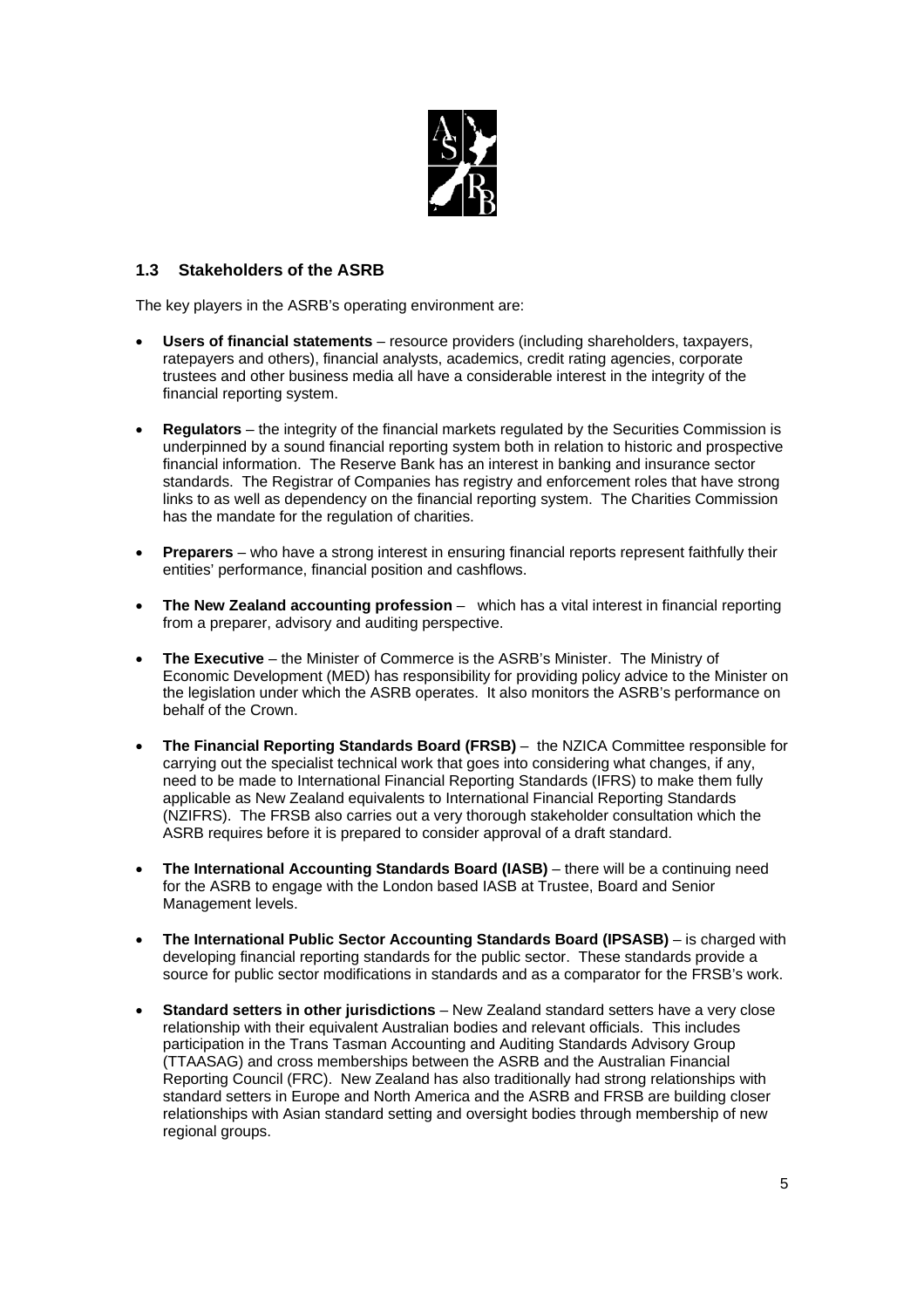

## **1.3 Stakeholders of the ASRB**

The key players in the ASRB's operating environment are:

- **Users of financial statements** resource providers (including shareholders, taxpayers, ratepayers and others), financial analysts, academics, credit rating agencies, corporate trustees and other business media all have a considerable interest in the integrity of the financial reporting system.
- **Regulators** the integrity of the financial markets regulated by the Securities Commission is underpinned by a sound financial reporting system both in relation to historic and prospective financial information. The Reserve Bank has an interest in banking and insurance sector standards. The Registrar of Companies has registry and enforcement roles that have strong links to as well as dependency on the financial reporting system. The Charities Commission has the mandate for the regulation of charities.
- **Preparers** who have a strong interest in ensuring financial reports represent faithfully their entities' performance, financial position and cashflows.
- **The New Zealand accounting profession** which has a vital interest in financial reporting from a preparer, advisory and auditing perspective.
- **The Executive** the Minister of Commerce is the ASRB's Minister. The Ministry of Economic Development (MED) has responsibility for providing policy advice to the Minister on the legislation under which the ASRB operates. It also monitors the ASRB's performance on behalf of the Crown.
- **The Financial Reporting Standards Board (FRSB)** the NZICA Committee responsible for carrying out the specialist technical work that goes into considering what changes, if any, need to be made to International Financial Reporting Standards (IFRS) to make them fully applicable as New Zealand equivalents to International Financial Reporting Standards (NZIFRS). The FRSB also carries out a very thorough stakeholder consultation which the ASRB requires before it is prepared to consider approval of a draft standard.
- **The International Accounting Standards Board (IASB)** there will be a continuing need for the ASRB to engage with the London based IASB at Trustee, Board and Senior Management levels.
- **The International Public Sector Accounting Standards Board (IPSASB)** is charged with developing financial reporting standards for the public sector. These standards provide a source for public sector modifications in standards and as a comparator for the FRSB's work.
- **Standard setters in other jurisdictions**  New Zealand standard setters have a very close relationship with their equivalent Australian bodies and relevant officials. This includes participation in the Trans Tasman Accounting and Auditing Standards Advisory Group (TTAASAG) and cross memberships between the ASRB and the Australian Financial Reporting Council (FRC). New Zealand has also traditionally had strong relationships with standard setters in Europe and North America and the ASRB and FRSB are building closer relationships with Asian standard setting and oversight bodies through membership of new regional groups.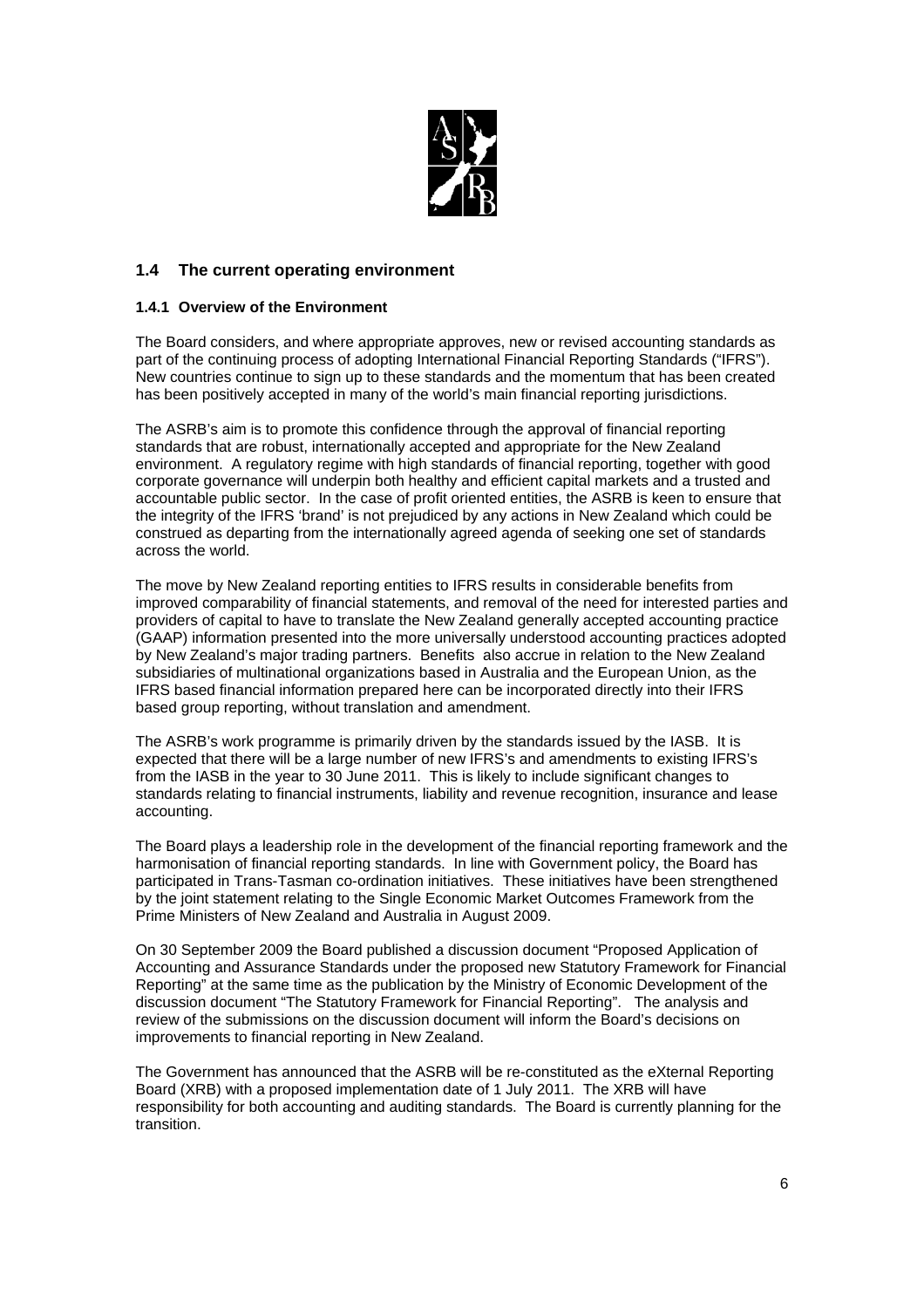

## **1.4 The current operating environment**

#### **1.4.1 Overview of the Environment**

The Board considers, and where appropriate approves, new or revised accounting standards as part of the continuing process of adopting International Financial Reporting Standards ("IFRS"). New countries continue to sign up to these standards and the momentum that has been created has been positively accepted in many of the world's main financial reporting jurisdictions.

The ASRB's aim is to promote this confidence through the approval of financial reporting standards that are robust, internationally accepted and appropriate for the New Zealand environment. A regulatory regime with high standards of financial reporting, together with good corporate governance will underpin both healthy and efficient capital markets and a trusted and accountable public sector. In the case of profit oriented entities, the ASRB is keen to ensure that the integrity of the IFRS 'brand' is not prejudiced by any actions in New Zealand which could be construed as departing from the internationally agreed agenda of seeking one set of standards across the world.

The move by New Zealand reporting entities to IFRS results in considerable benefits from improved comparability of financial statements, and removal of the need for interested parties and providers of capital to have to translate the New Zealand generally accepted accounting practice (GAAP) information presented into the more universally understood accounting practices adopted by New Zealand's major trading partners. Benefits also accrue in relation to the New Zealand subsidiaries of multinational organizations based in Australia and the European Union, as the IFRS based financial information prepared here can be incorporated directly into their IFRS based group reporting, without translation and amendment.

The ASRB's work programme is primarily driven by the standards issued by the IASB. It is expected that there will be a large number of new IFRS's and amendments to existing IFRS's from the IASB in the year to 30 June 2011. This is likely to include significant changes to standards relating to financial instruments, liability and revenue recognition, insurance and lease accounting.

The Board plays a leadership role in the development of the financial reporting framework and the harmonisation of financial reporting standards. In line with Government policy, the Board has participated in Trans-Tasman co-ordination initiatives. These initiatives have been strengthened by the joint statement relating to the Single Economic Market Outcomes Framework from the Prime Ministers of New Zealand and Australia in August 2009.

On 30 September 2009 the Board published a discussion document "Proposed Application of Accounting and Assurance Standards under the proposed new Statutory Framework for Financial Reporting" at the same time as the publication by the Ministry of Economic Development of the discussion document "The Statutory Framework for Financial Reporting". The analysis and review of the submissions on the discussion document will inform the Board's decisions on improvements to financial reporting in New Zealand.

The Government has announced that the ASRB will be re-constituted as the eXternal Reporting Board (XRB) with a proposed implementation date of 1 July 2011. The XRB will have responsibility for both accounting and auditing standards. The Board is currently planning for the transition.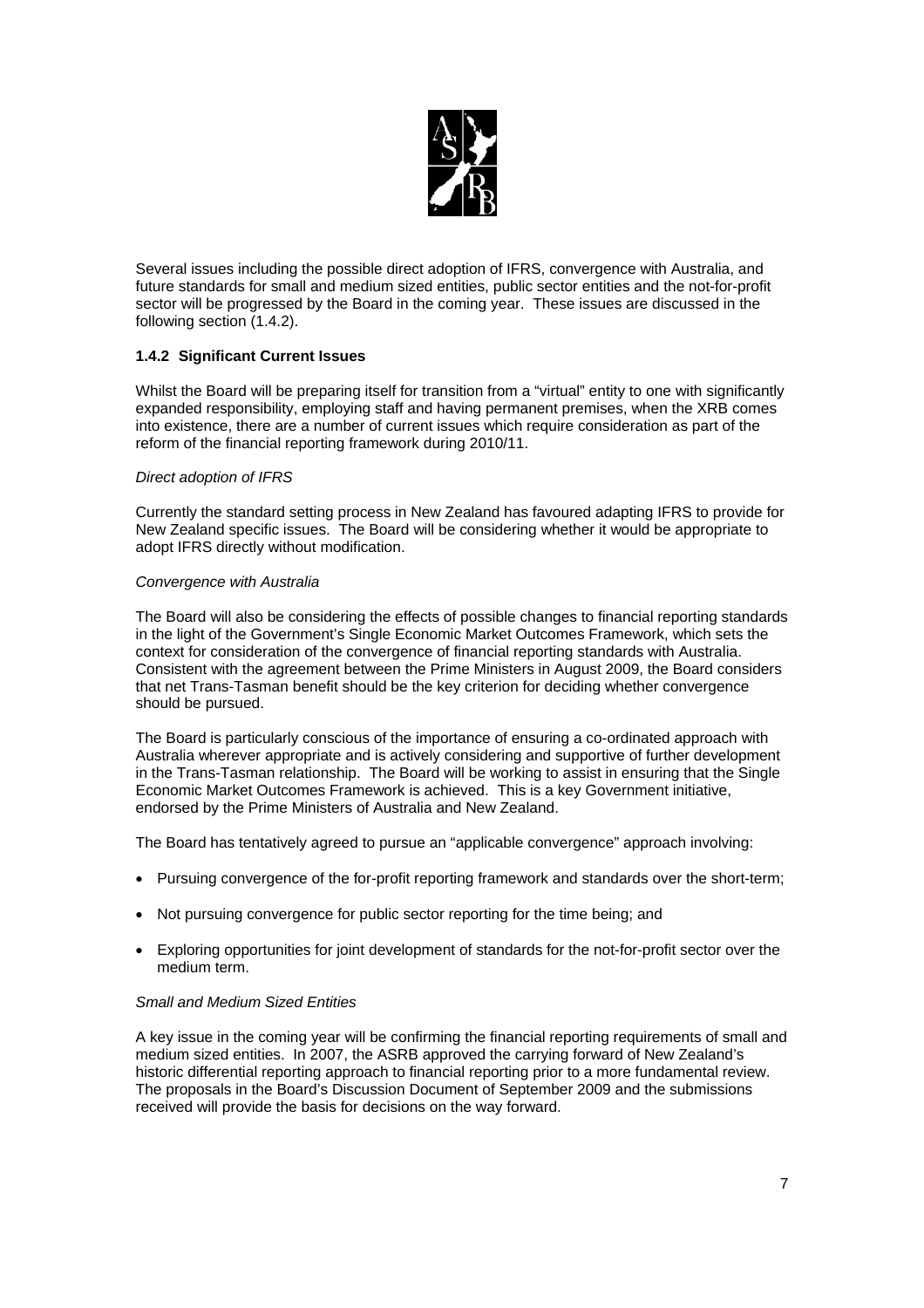

Several issues including the possible direct adoption of IFRS, convergence with Australia, and future standards for small and medium sized entities, public sector entities and the not-for-profit sector will be progressed by the Board in the coming year. These issues are discussed in the following section (1.4.2).

## **1.4.2 Significant Current Issues**

Whilst the Board will be preparing itself for transition from a "virtual" entity to one with significantly expanded responsibility, employing staff and having permanent premises, when the XRB comes into existence, there are a number of current issues which require consideration as part of the reform of the financial reporting framework during 2010/11.

#### *Direct adoption of IFRS*

Currently the standard setting process in New Zealand has favoured adapting IFRS to provide for New Zealand specific issues. The Board will be considering whether it would be appropriate to adopt IFRS directly without modification.

#### *Convergence with Australia*

The Board will also be considering the effects of possible changes to financial reporting standards in the light of the Government's Single Economic Market Outcomes Framework, which sets the context for consideration of the convergence of financial reporting standards with Australia. Consistent with the agreement between the Prime Ministers in August 2009, the Board considers that net Trans-Tasman benefit should be the key criterion for deciding whether convergence should be pursued.

The Board is particularly conscious of the importance of ensuring a co-ordinated approach with Australia wherever appropriate and is actively considering and supportive of further development in the Trans-Tasman relationship. The Board will be working to assist in ensuring that the Single Economic Market Outcomes Framework is achieved. This is a key Government initiative, endorsed by the Prime Ministers of Australia and New Zealand.

The Board has tentatively agreed to pursue an "applicable convergence" approach involving:

- Pursuing convergence of the for-profit reporting framework and standards over the short-term;
- Not pursuing convergence for public sector reporting for the time being: and
- Exploring opportunities for joint development of standards for the not-for-profit sector over the medium term.

#### *Small and Medium Sized Entities*

A key issue in the coming year will be confirming the financial reporting requirements of small and medium sized entities. In 2007, the ASRB approved the carrying forward of New Zealand's historic differential reporting approach to financial reporting prior to a more fundamental review. The proposals in the Board's Discussion Document of September 2009 and the submissions received will provide the basis for decisions on the way forward.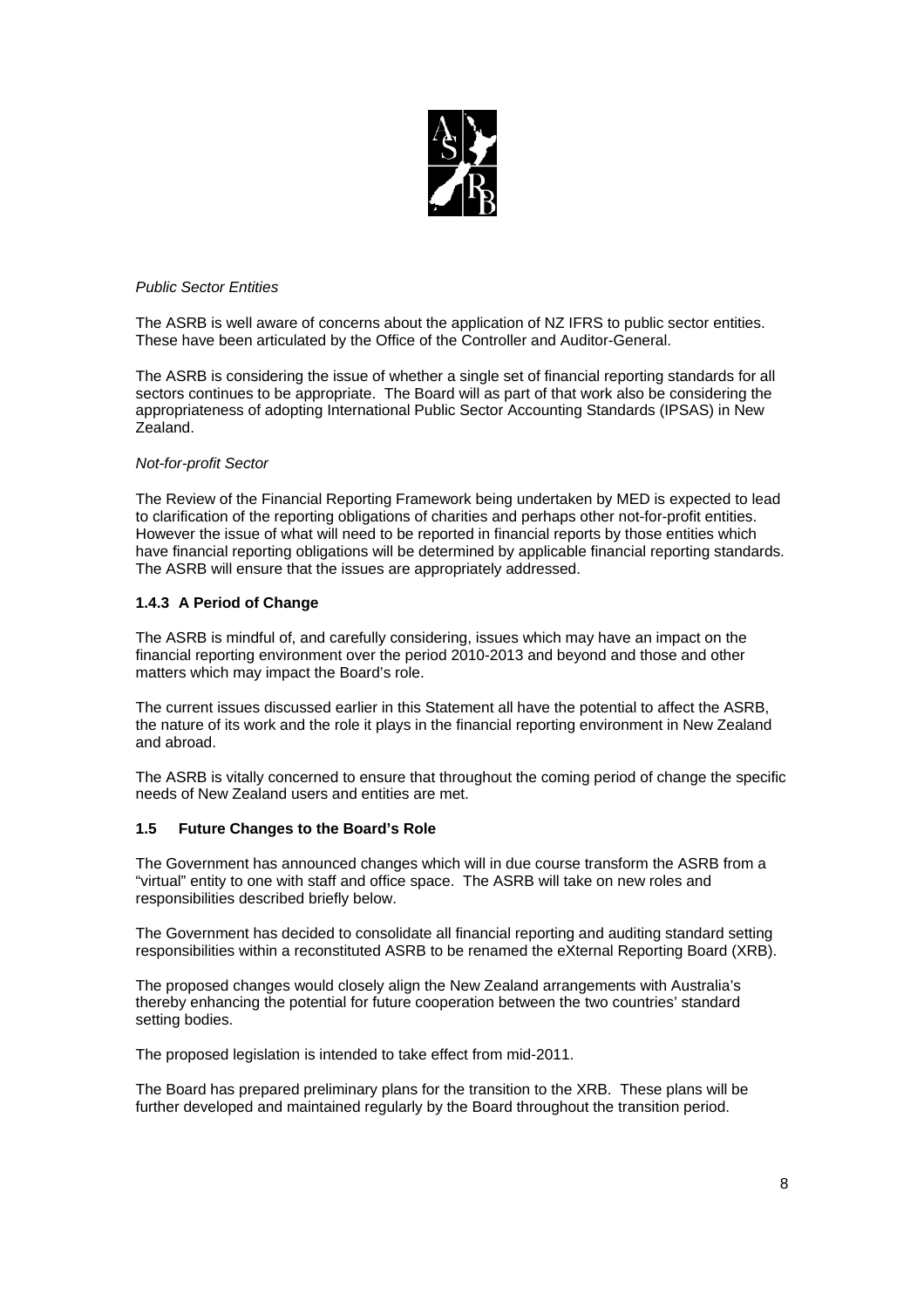

#### *Public Sector Entities*

The ASRB is well aware of concerns about the application of NZ IFRS to public sector entities. These have been articulated by the Office of the Controller and Auditor-General.

The ASRB is considering the issue of whether a single set of financial reporting standards for all sectors continues to be appropriate. The Board will as part of that work also be considering the appropriateness of adopting International Public Sector Accounting Standards (IPSAS) in New Zealand.

#### *Not-for-profit Sector*

The Review of the Financial Reporting Framework being undertaken by MED is expected to lead to clarification of the reporting obligations of charities and perhaps other not-for-profit entities. However the issue of what will need to be reported in financial reports by those entities which have financial reporting obligations will be determined by applicable financial reporting standards. The ASRB will ensure that the issues are appropriately addressed.

#### **1.4.3 A Period of Change**

The ASRB is mindful of, and carefully considering, issues which may have an impact on the financial reporting environment over the period 2010-2013 and beyond and those and other matters which may impact the Board's role.

The current issues discussed earlier in this Statement all have the potential to affect the ASRB, the nature of its work and the role it plays in the financial reporting environment in New Zealand and abroad.

The ASRB is vitally concerned to ensure that throughout the coming period of change the specific needs of New Zealand users and entities are met.

#### **1.5 Future Changes to the Board's Role**

The Government has announced changes which will in due course transform the ASRB from a "virtual" entity to one with staff and office space. The ASRB will take on new roles and responsibilities described briefly below.

The Government has decided to consolidate all financial reporting and auditing standard setting responsibilities within a reconstituted ASRB to be renamed the eXternal Reporting Board (XRB).

The proposed changes would closely align the New Zealand arrangements with Australia's thereby enhancing the potential for future cooperation between the two countries' standard setting bodies.

The proposed legislation is intended to take effect from mid-2011.

The Board has prepared preliminary plans for the transition to the XRB. These plans will be further developed and maintained regularly by the Board throughout the transition period.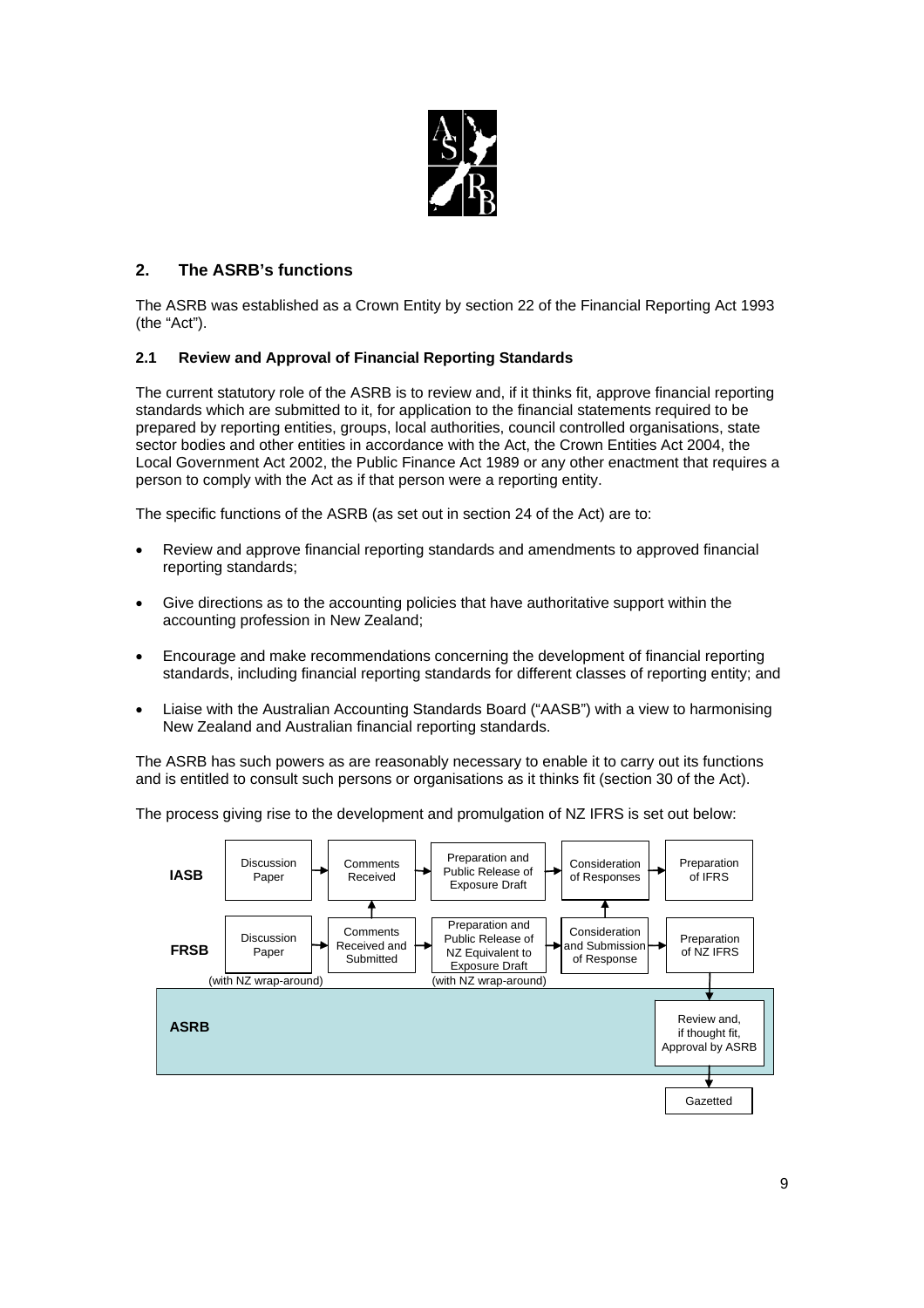

## **2. The ASRB's functions**

The ASRB was established as a Crown Entity by section 22 of the Financial Reporting Act 1993 (the "Act").

## **2.1 Review and Approval of Financial Reporting Standards**

The current statutory role of the ASRB is to review and, if it thinks fit, approve financial reporting standards which are submitted to it, for application to the financial statements required to be prepared by reporting entities, groups, local authorities, council controlled organisations, state sector bodies and other entities in accordance with the Act, the Crown Entities Act 2004, the Local Government Act 2002, the Public Finance Act 1989 or any other enactment that requires a person to comply with the Act as if that person were a reporting entity.

The specific functions of the ASRB (as set out in section 24 of the Act) are to:

- Review and approve financial reporting standards and amendments to approved financial reporting standards;
- Give directions as to the accounting policies that have authoritative support within the accounting profession in New Zealand;
- Encourage and make recommendations concerning the development of financial reporting standards, including financial reporting standards for different classes of reporting entity; and
- Liaise with the Australian Accounting Standards Board ("AASB") with a view to harmonising New Zealand and Australian financial reporting standards.

The ASRB has such powers as are reasonably necessary to enable it to carry out its functions and is entitled to consult such persons or organisations as it thinks fit (section 30 of the Act).

The process giving rise to the development and promulgation of NZ IFRS is set out below:

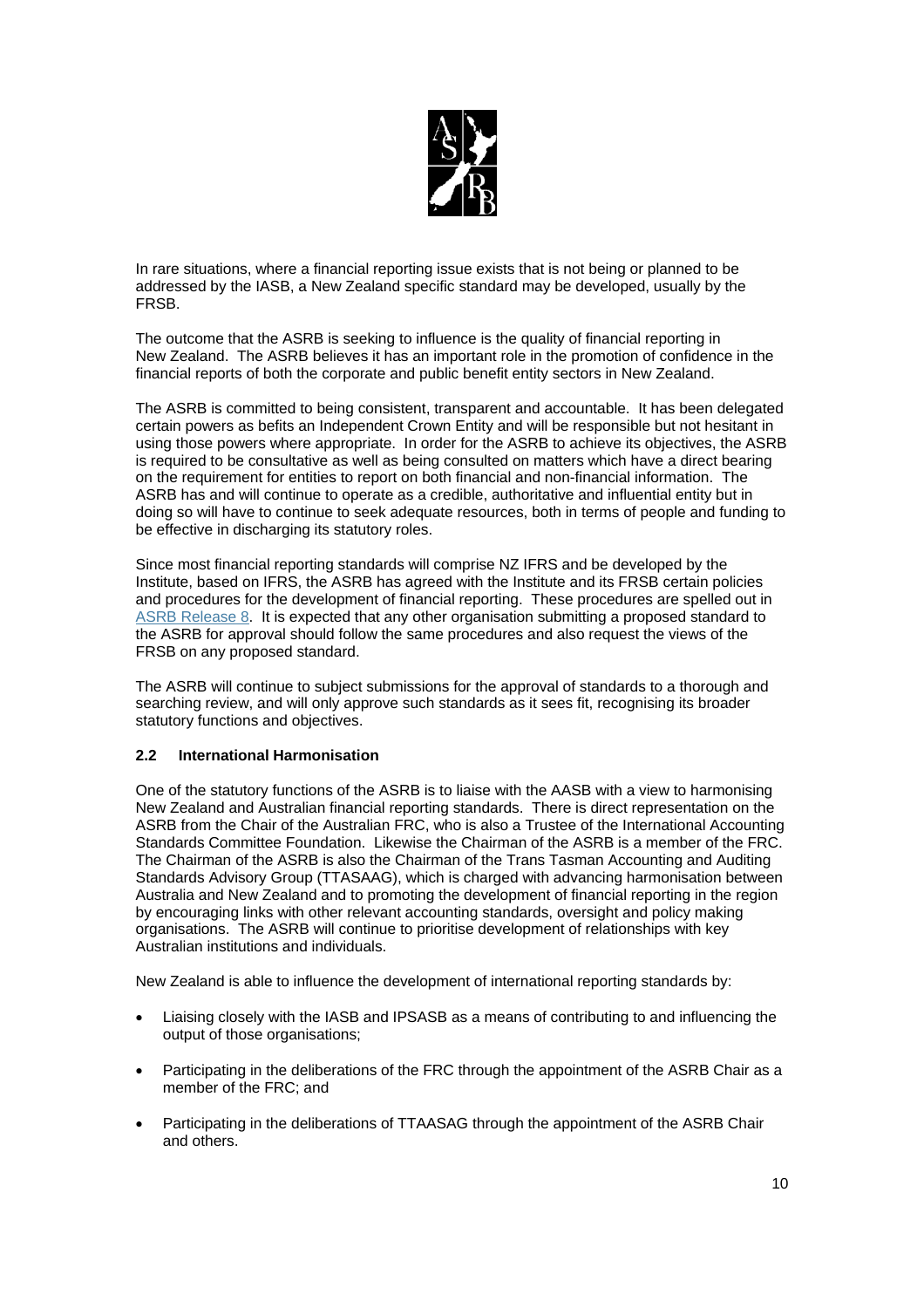

In rare situations, where a financial reporting issue exists that is not being or planned to be addressed by the IASB, a New Zealand specific standard may be developed, usually by the FRSB.

The outcome that the ASRB is seeking to influence is the quality of financial reporting in New Zealand. The ASRB believes it has an important role in the promotion of confidence in the financial reports of both the corporate and public benefit entity sectors in New Zealand.

The ASRB is committed to being consistent, transparent and accountable. It has been delegated certain powers as befits an Independent Crown Entity and will be responsible but not hesitant in using those powers where appropriate. In order for the ASRB to achieve its objectives, the ASRB is required to be consultative as well as being consulted on matters which have a direct bearing on the requirement for entities to report on both financial and non-financial information. The ASRB has and will continue to operate as a credible, authoritative and influential entity but in doing so will have to continue to seek adequate resources, both in terms of people and funding to be effective in discharging its statutory roles.

Since most financial reporting standards will comprise NZ IFRS and be developed by the Institute, based on IFRS, the ASRB has agreed with the Institute and its FRSB certain policies and procedures for the development of financial reporting. These procedures are spelled out in ASRB Release 8. It is expected that any other organisation submitting a proposed standard to the ASRB for approval should follow the same procedures and also request the views of the FRSB on any proposed standard.

The ASRB will continue to subject submissions for the approval of standards to a thorough and searching review, and will only approve such standards as it sees fit, recognising its broader statutory functions and objectives.

## **2.2 International Harmonisation**

One of the statutory functions of the ASRB is to liaise with the AASB with a view to harmonising New Zealand and Australian financial reporting standards. There is direct representation on the ASRB from the Chair of the Australian FRC, who is also a Trustee of the International Accounting Standards Committee Foundation. Likewise the Chairman of the ASRB is a member of the FRC. The Chairman of the ASRB is also the Chairman of the Trans Tasman Accounting and Auditing Standards Advisory Group (TTASAAG), which is charged with advancing harmonisation between Australia and New Zealand and to promoting the development of financial reporting in the region by encouraging links with other relevant accounting standards, oversight and policy making organisations. The ASRB will continue to prioritise development of relationships with key Australian institutions and individuals.

New Zealand is able to influence the development of international reporting standards by:

- Liaising closely with the IASB and IPSASB as a means of contributing to and influencing the output of those organisations;
- Participating in the deliberations of the FRC through the appointment of the ASRB Chair as a member of the FRC; and
- Participating in the deliberations of TTAASAG through the appointment of the ASRB Chair and others.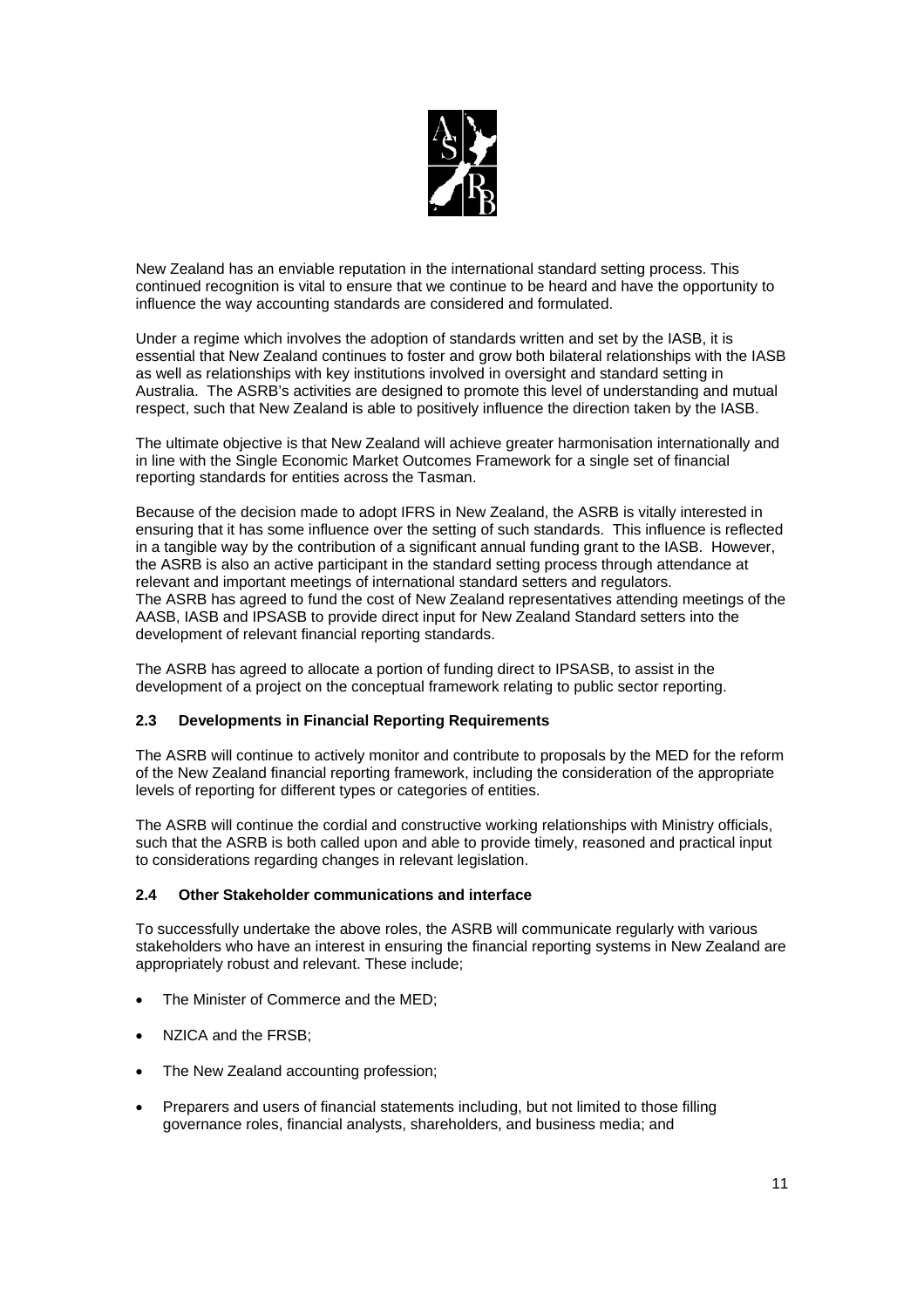

New Zealand has an enviable reputation in the international standard setting process. This continued recognition is vital to ensure that we continue to be heard and have the opportunity to influence the way accounting standards are considered and formulated.

Under a regime which involves the adoption of standards written and set by the IASB, it is essential that New Zealand continues to foster and grow both bilateral relationships with the IASB as well as relationships with key institutions involved in oversight and standard setting in Australia. The ASRB's activities are designed to promote this level of understanding and mutual respect, such that New Zealand is able to positively influence the direction taken by the IASB.

The ultimate objective is that New Zealand will achieve greater harmonisation internationally and in line with the Single Economic Market Outcomes Framework for a single set of financial reporting standards for entities across the Tasman.

Because of the decision made to adopt IFRS in New Zealand, the ASRB is vitally interested in ensuring that it has some influence over the setting of such standards. This influence is reflected in a tangible way by the contribution of a significant annual funding grant to the IASB. However, the ASRB is also an active participant in the standard setting process through attendance at relevant and important meetings of international standard setters and regulators. The ASRB has agreed to fund the cost of New Zealand representatives attending meetings of the AASB, IASB and IPSASB to provide direct input for New Zealand Standard setters into the development of relevant financial reporting standards.

The ASRB has agreed to allocate a portion of funding direct to IPSASB, to assist in the development of a project on the conceptual framework relating to public sector reporting.

## **2.3 Developments in Financial Reporting Requirements**

The ASRB will continue to actively monitor and contribute to proposals by the MED for the reform of the New Zealand financial reporting framework, including the consideration of the appropriate levels of reporting for different types or categories of entities.

The ASRB will continue the cordial and constructive working relationships with Ministry officials, such that the ASRB is both called upon and able to provide timely, reasoned and practical input to considerations regarding changes in relevant legislation.

## **2.4 Other Stakeholder communications and interface**

To successfully undertake the above roles, the ASRB will communicate regularly with various stakeholders who have an interest in ensuring the financial reporting systems in New Zealand are appropriately robust and relevant. These include;

- The Minister of Commerce and the MED;
- NZICA and the FRSB;
- The New Zealand accounting profession;
- Preparers and users of financial statements including, but not limited to those filling governance roles, financial analysts, shareholders, and business media; and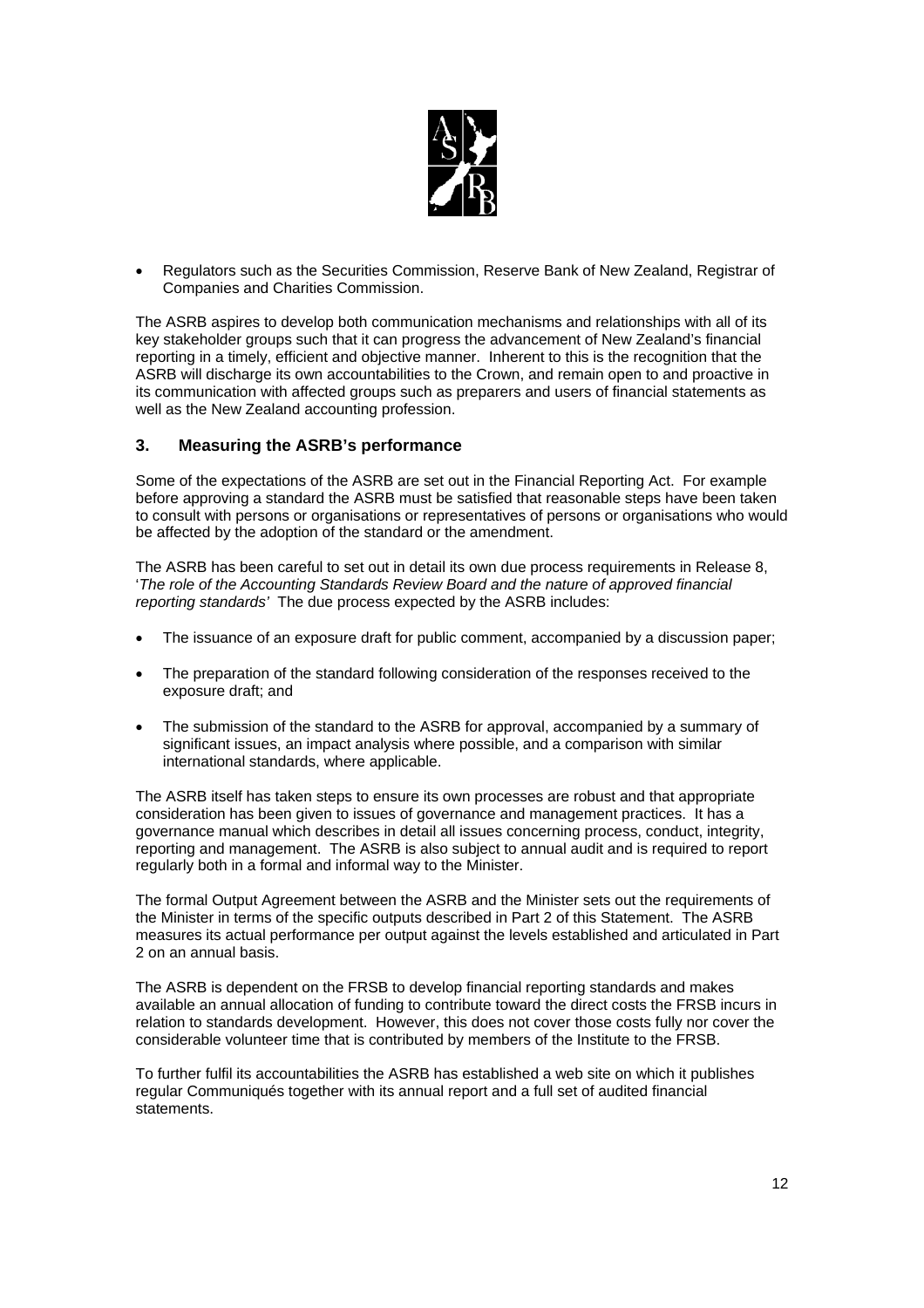

• Regulators such as the Securities Commission, Reserve Bank of New Zealand, Registrar of Companies and Charities Commission.

The ASRB aspires to develop both communication mechanisms and relationships with all of its key stakeholder groups such that it can progress the advancement of New Zealand's financial reporting in a timely, efficient and objective manner. Inherent to this is the recognition that the ASRB will discharge its own accountabilities to the Crown, and remain open to and proactive in its communication with affected groups such as preparers and users of financial statements as well as the New Zealand accounting profession.

## **3. Measuring the ASRB's performance**

Some of the expectations of the ASRB are set out in the Financial Reporting Act. For example before approving a standard the ASRB must be satisfied that reasonable steps have been taken to consult with persons or organisations or representatives of persons or organisations who would be affected by the adoption of the standard or the amendment.

The ASRB has been careful to set out in detail its own due process requirements in Release 8, '*The role of the Accounting Standards Review Board and the nature of approved financial reporting standards'* The due process expected by the ASRB includes:

- The issuance of an exposure draft for public comment, accompanied by a discussion paper;
- The preparation of the standard following consideration of the responses received to the exposure draft; and
- The submission of the standard to the ASRB for approval, accompanied by a summary of significant issues, an impact analysis where possible, and a comparison with similar international standards, where applicable.

The ASRB itself has taken steps to ensure its own processes are robust and that appropriate consideration has been given to issues of governance and management practices. It has a governance manual which describes in detail all issues concerning process, conduct, integrity, reporting and management. The ASRB is also subject to annual audit and is required to report regularly both in a formal and informal way to the Minister.

The formal Output Agreement between the ASRB and the Minister sets out the requirements of the Minister in terms of the specific outputs described in Part 2 of this Statement. The ASRB measures its actual performance per output against the levels established and articulated in Part 2 on an annual basis.

The ASRB is dependent on the FRSB to develop financial reporting standards and makes available an annual allocation of funding to contribute toward the direct costs the FRSB incurs in relation to standards development. However, this does not cover those costs fully nor cover the considerable volunteer time that is contributed by members of the Institute to the FRSB.

To further fulfil its accountabilities the ASRB has established a web site on which it publishes regular Communiqués together with its annual report and a full set of audited financial statements.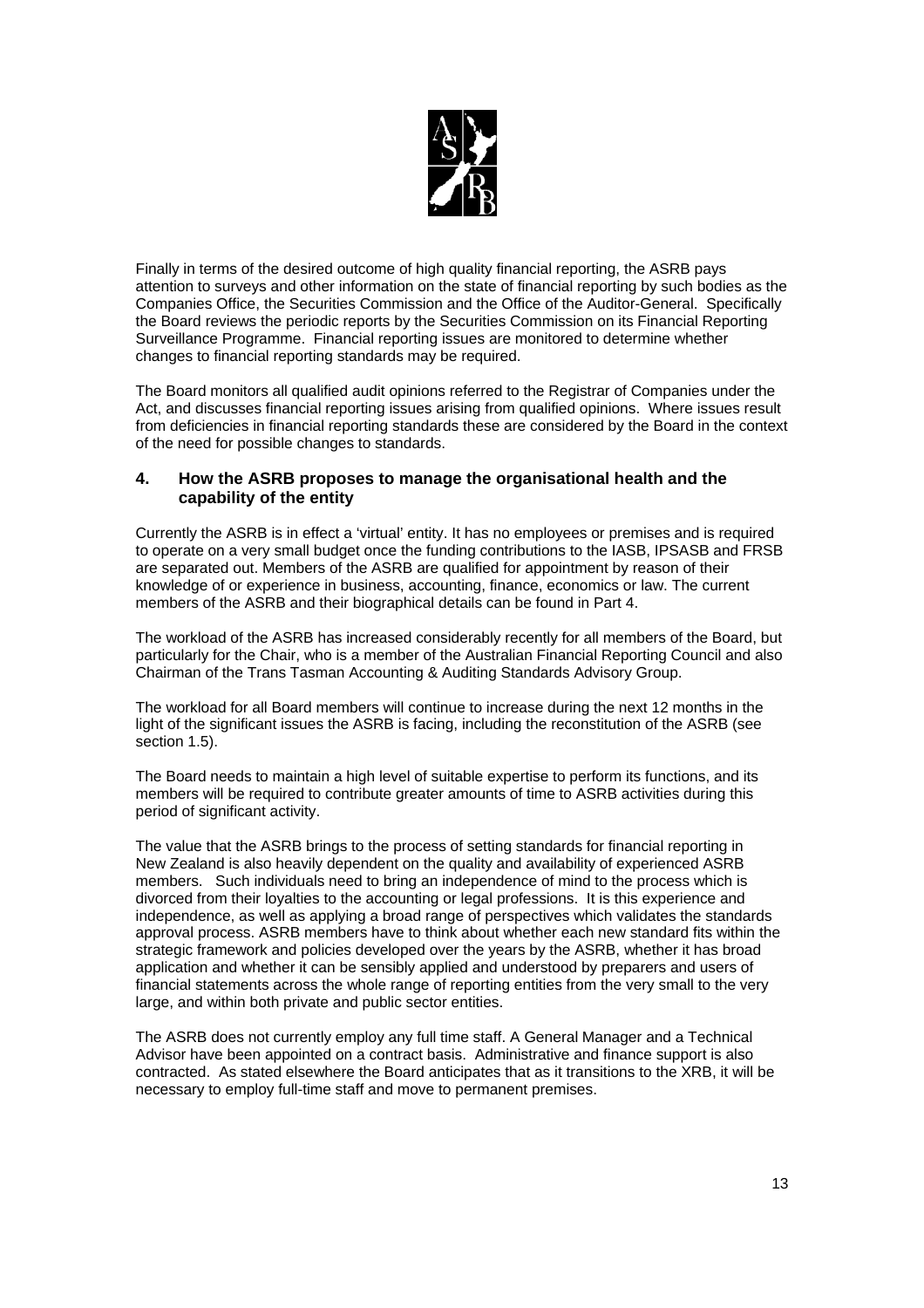

Finally in terms of the desired outcome of high quality financial reporting, the ASRB pays attention to surveys and other information on the state of financial reporting by such bodies as the Companies Office, the Securities Commission and the Office of the Auditor-General. Specifically the Board reviews the periodic reports by the Securities Commission on its Financial Reporting Surveillance Programme. Financial reporting issues are monitored to determine whether changes to financial reporting standards may be required.

The Board monitors all qualified audit opinions referred to the Registrar of Companies under the Act, and discusses financial reporting issues arising from qualified opinions. Where issues result from deficiencies in financial reporting standards these are considered by the Board in the context of the need for possible changes to standards.

## **4. How the ASRB proposes to manage the organisational health and the capability of the entity**

Currently the ASRB is in effect a 'virtual' entity. It has no employees or premises and is required to operate on a very small budget once the funding contributions to the IASB, IPSASB and FRSB are separated out. Members of the ASRB are qualified for appointment by reason of their knowledge of or experience in business, accounting, finance, economics or law. The current members of the ASRB and their biographical details can be found in Part 4.

The workload of the ASRB has increased considerably recently for all members of the Board, but particularly for the Chair, who is a member of the Australian Financial Reporting Council and also Chairman of the Trans Tasman Accounting & Auditing Standards Advisory Group.

The workload for all Board members will continue to increase during the next 12 months in the light of the significant issues the ASRB is facing, including the reconstitution of the ASRB (see section 1.5).

The Board needs to maintain a high level of suitable expertise to perform its functions, and its members will be required to contribute greater amounts of time to ASRB activities during this period of significant activity.

The value that the ASRB brings to the process of setting standards for financial reporting in New Zealand is also heavily dependent on the quality and availability of experienced ASRB members. Such individuals need to bring an independence of mind to the process which is divorced from their loyalties to the accounting or legal professions. It is this experience and independence, as well as applying a broad range of perspectives which validates the standards approval process. ASRB members have to think about whether each new standard fits within the strategic framework and policies developed over the years by the ASRB, whether it has broad application and whether it can be sensibly applied and understood by preparers and users of financial statements across the whole range of reporting entities from the very small to the very large, and within both private and public sector entities.

The ASRB does not currently employ any full time staff. A General Manager and a Technical Advisor have been appointed on a contract basis. Administrative and finance support is also contracted. As stated elsewhere the Board anticipates that as it transitions to the XRB, it will be necessary to employ full-time staff and move to permanent premises.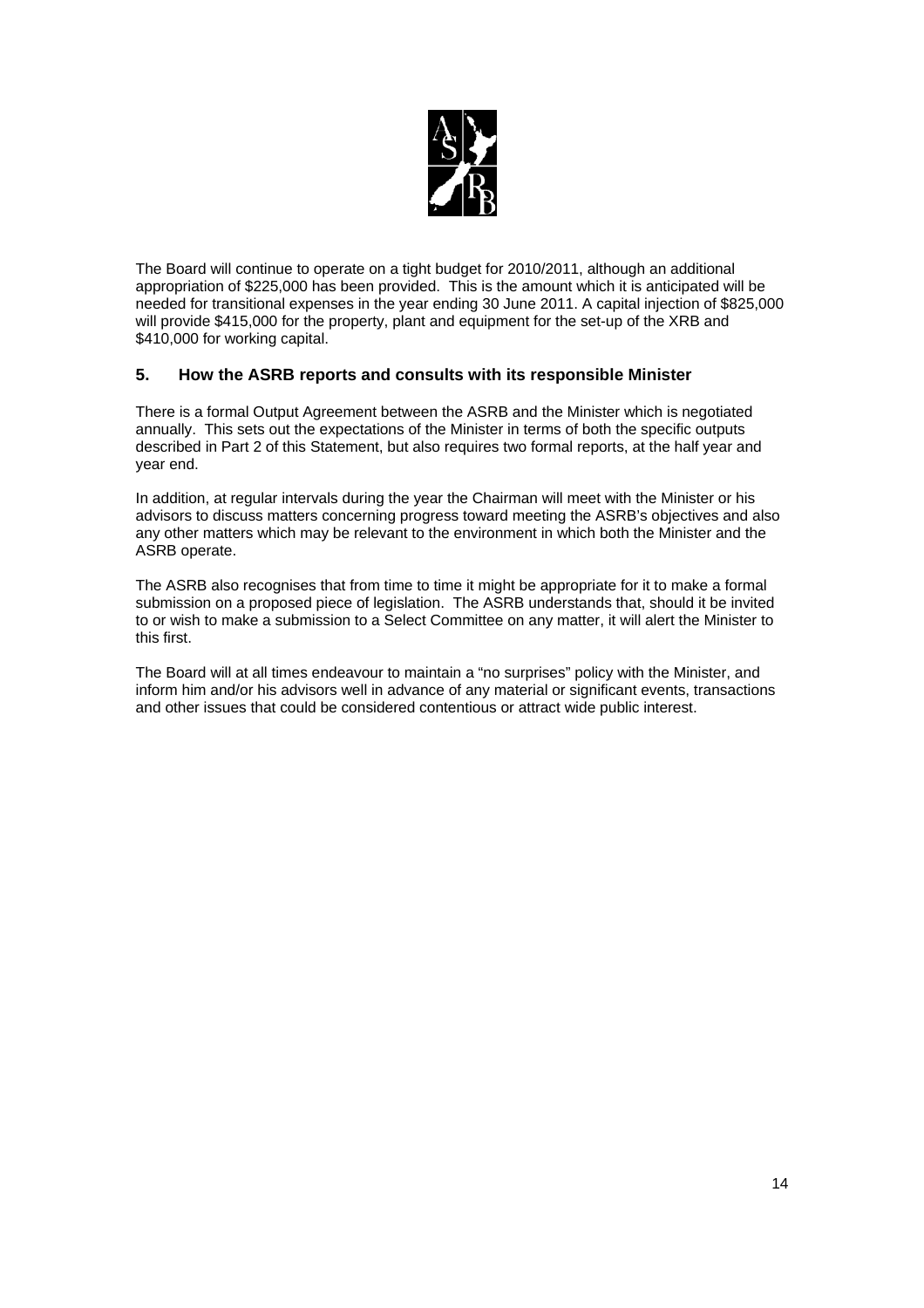

The Board will continue to operate on a tight budget for 2010/2011, although an additional appropriation of \$225,000 has been provided. This is the amount which it is anticipated will be needed for transitional expenses in the year ending 30 June 2011. A capital injection of \$825,000 will provide \$415,000 for the property, plant and equipment for the set-up of the XRB and \$410,000 for working capital.

## **5. How the ASRB reports and consults with its responsible Minister**

There is a formal Output Agreement between the ASRB and the Minister which is negotiated annually. This sets out the expectations of the Minister in terms of both the specific outputs described in Part 2 of this Statement, but also requires two formal reports, at the half year and year end.

In addition, at regular intervals during the year the Chairman will meet with the Minister or his advisors to discuss matters concerning progress toward meeting the ASRB's objectives and also any other matters which may be relevant to the environment in which both the Minister and the ASRB operate.

The ASRB also recognises that from time to time it might be appropriate for it to make a formal submission on a proposed piece of legislation. The ASRB understands that, should it be invited to or wish to make a submission to a Select Committee on any matter, it will alert the Minister to this first.

The Board will at all times endeavour to maintain a "no surprises" policy with the Minister, and inform him and/or his advisors well in advance of any material or significant events, transactions and other issues that could be considered contentious or attract wide public interest.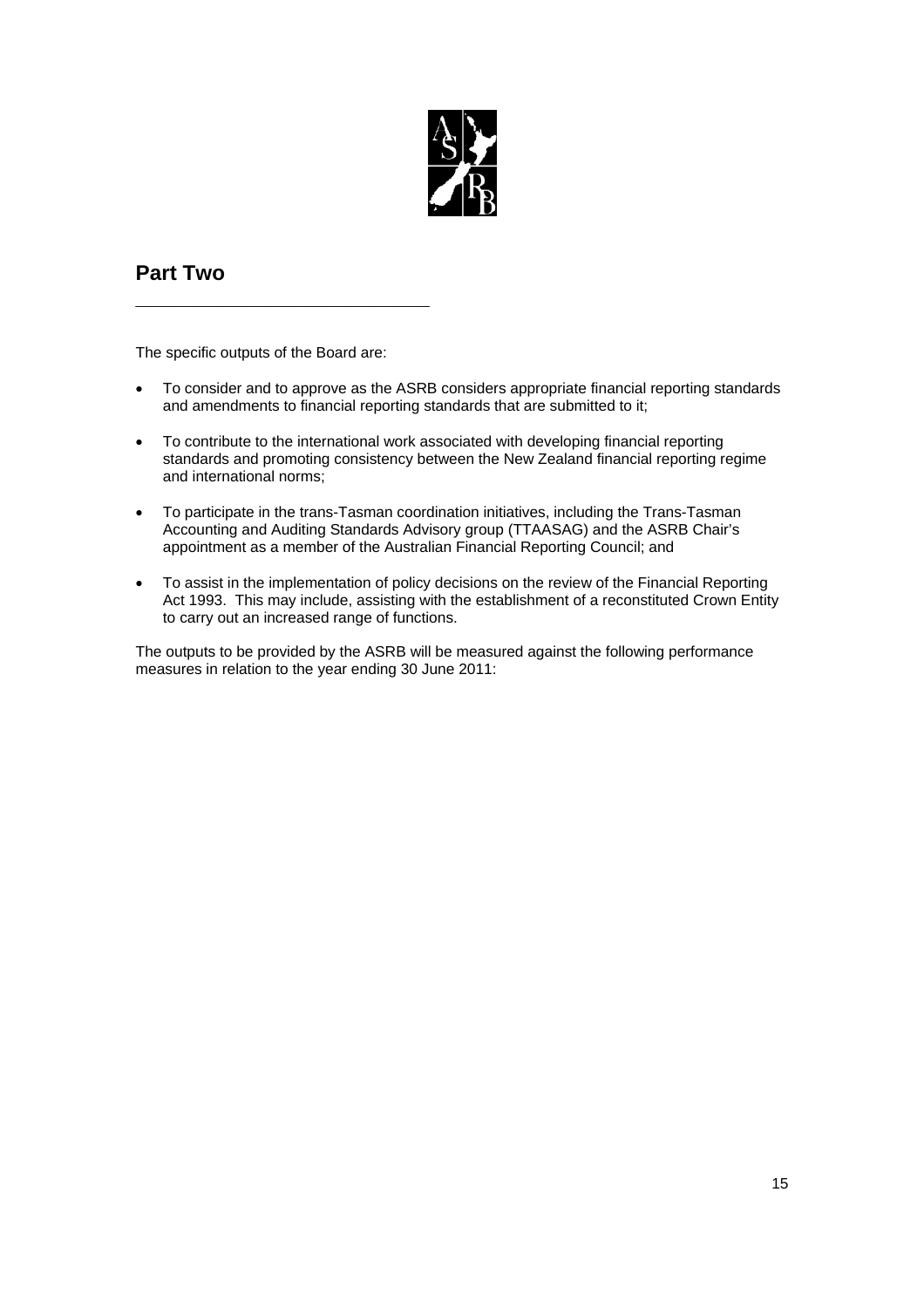

## **Part Two**

The specific outputs of the Board are:

**\_\_\_\_\_\_\_\_\_\_\_\_\_\_\_\_\_\_\_\_\_\_\_\_\_**

- To consider and to approve as the ASRB considers appropriate financial reporting standards and amendments to financial reporting standards that are submitted to it;
- To contribute to the international work associated with developing financial reporting standards and promoting consistency between the New Zealand financial reporting regime and international norms;
- To participate in the trans-Tasman coordination initiatives, including the Trans-Tasman Accounting and Auditing Standards Advisory group (TTAASAG) and the ASRB Chair's appointment as a member of the Australian Financial Reporting Council; and
- To assist in the implementation of policy decisions on the review of the Financial Reporting Act 1993. This may include, assisting with the establishment of a reconstituted Crown Entity to carry out an increased range of functions.

The outputs to be provided by the ASRB will be measured against the following performance measures in relation to the year ending 30 June 2011: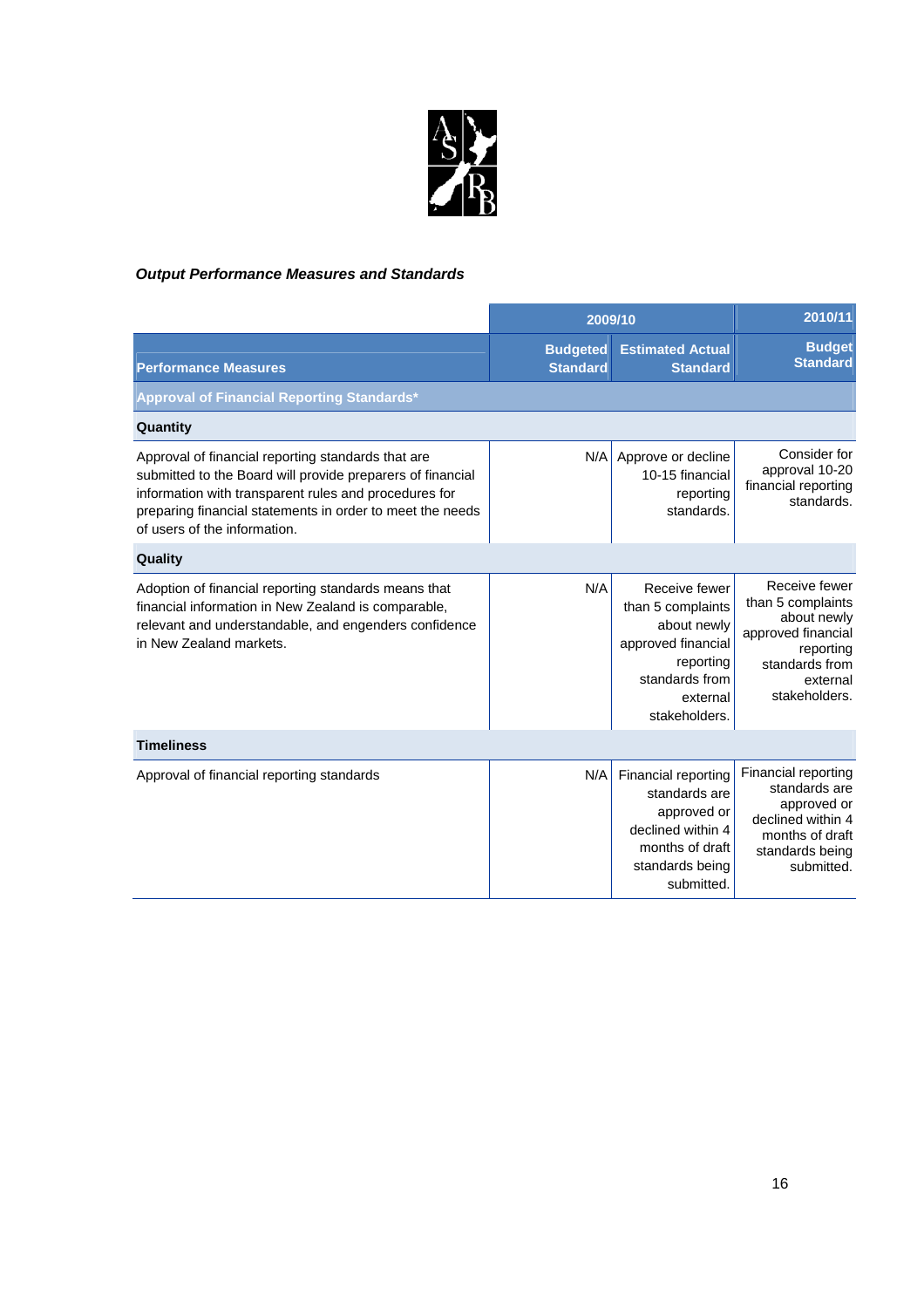

## *Output Performance Measures and Standards*

|                                                                                                                                                                                                                                                                        | 2009/10                            |                                                                                                                                     | 2010/11                                                                                                                             |
|------------------------------------------------------------------------------------------------------------------------------------------------------------------------------------------------------------------------------------------------------------------------|------------------------------------|-------------------------------------------------------------------------------------------------------------------------------------|-------------------------------------------------------------------------------------------------------------------------------------|
| <b>Performance Measures</b>                                                                                                                                                                                                                                            | <b>Budgeted</b><br><b>Standard</b> | <b>Estimated Actual</b><br><b>Standard</b>                                                                                          | <b>Budget</b><br><b>Standard</b>                                                                                                    |
| Approval of Financial Reporting Standards*                                                                                                                                                                                                                             |                                    |                                                                                                                                     |                                                                                                                                     |
| Quantity                                                                                                                                                                                                                                                               |                                    |                                                                                                                                     |                                                                                                                                     |
| Approval of financial reporting standards that are<br>submitted to the Board will provide preparers of financial<br>information with transparent rules and procedures for<br>preparing financial statements in order to meet the needs<br>of users of the information. | N/A                                | Approve or decline<br>10-15 financial<br>reporting<br>standards.                                                                    | Consider for<br>approval 10-20<br>financial reporting<br>standards.                                                                 |
| Quality                                                                                                                                                                                                                                                                |                                    |                                                                                                                                     |                                                                                                                                     |
| Adoption of financial reporting standards means that<br>financial information in New Zealand is comparable,<br>relevant and understandable, and engenders confidence<br>in New Zealand markets.                                                                        | N/A                                | Receive fewer<br>than 5 complaints<br>about newly<br>approved financial<br>reporting<br>standards from<br>external<br>stakeholders. | Receive fewer<br>than 5 complaints<br>about newly<br>approved financial<br>reporting<br>standards from<br>external<br>stakeholders. |
| <b>Timeliness</b>                                                                                                                                                                                                                                                      |                                    |                                                                                                                                     |                                                                                                                                     |
| Approval of financial reporting standards                                                                                                                                                                                                                              | N/A                                | Financial reporting<br>standards are<br>approved or<br>declined within 4<br>months of draft<br>standards being<br>submitted.        | Financial reporting<br>standards are<br>approved or<br>declined within 4<br>months of draft<br>standards being<br>submitted.        |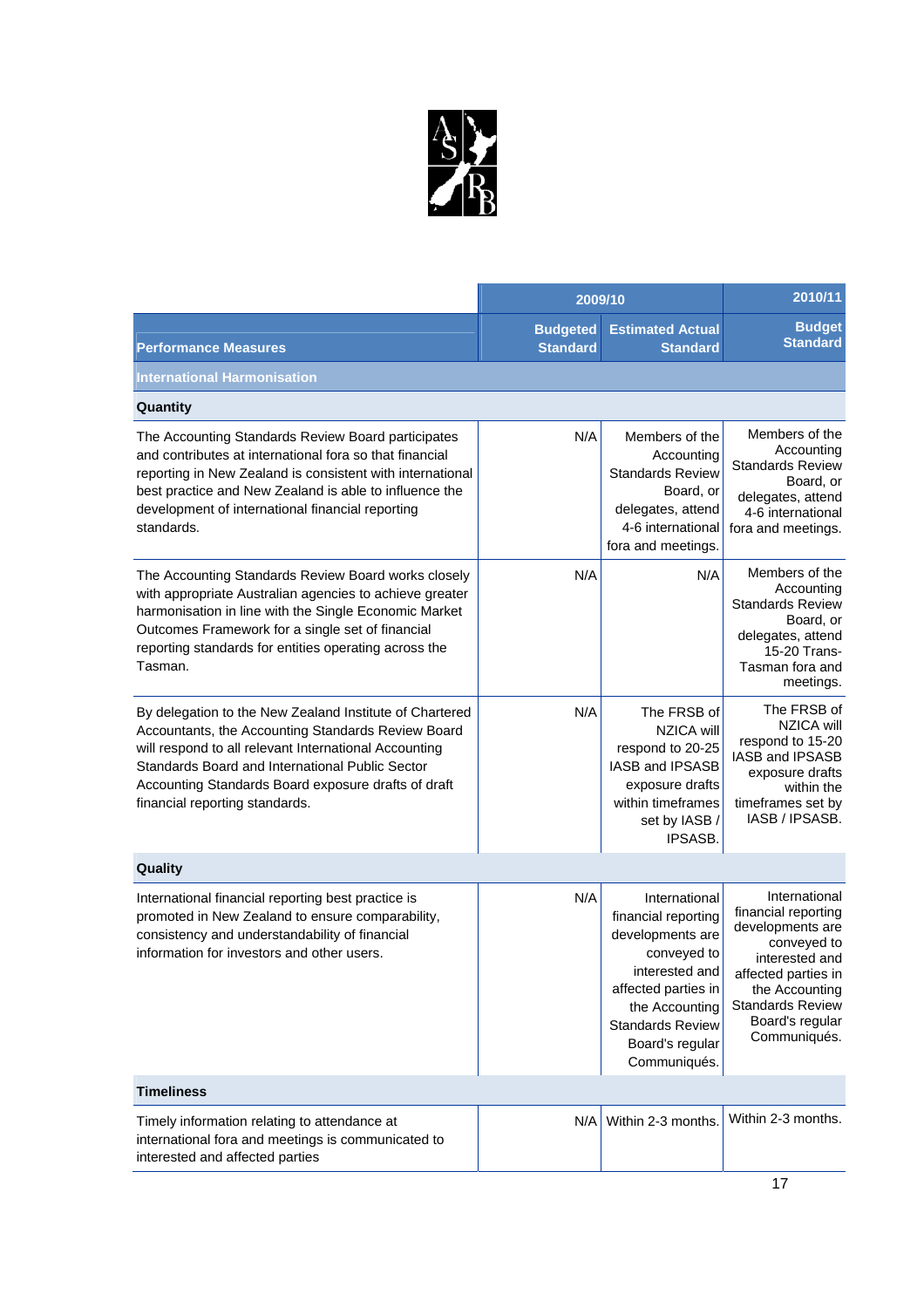

|                                                                                                                                                                                                                                                                                                                    | 2009/10                            |                                                                                                                                                                                                  | 2010/11                                                                                                                                                                                          |
|--------------------------------------------------------------------------------------------------------------------------------------------------------------------------------------------------------------------------------------------------------------------------------------------------------------------|------------------------------------|--------------------------------------------------------------------------------------------------------------------------------------------------------------------------------------------------|--------------------------------------------------------------------------------------------------------------------------------------------------------------------------------------------------|
| <b>Performance Measures</b>                                                                                                                                                                                                                                                                                        | <b>Budgeted</b><br><b>Standard</b> | <b>Estimated Actual</b><br><b>Standard</b>                                                                                                                                                       | <b>Budget</b><br><b>Standard</b>                                                                                                                                                                 |
| <b>International Harmonisation</b>                                                                                                                                                                                                                                                                                 |                                    |                                                                                                                                                                                                  |                                                                                                                                                                                                  |
| Quantity                                                                                                                                                                                                                                                                                                           |                                    |                                                                                                                                                                                                  |                                                                                                                                                                                                  |
| The Accounting Standards Review Board participates<br>and contributes at international fora so that financial<br>reporting in New Zealand is consistent with international<br>best practice and New Zealand is able to influence the<br>development of international financial reporting<br>standards.             | N/A                                | Members of the<br>Accounting<br><b>Standards Review</b><br>Board, or<br>delegates, attend<br>4-6 international<br>fora and meetings.                                                             | Members of the<br>Accounting<br><b>Standards Review</b><br>Board, or<br>delegates, attend<br>4-6 international<br>fora and meetings.                                                             |
| The Accounting Standards Review Board works closely<br>with appropriate Australian agencies to achieve greater<br>harmonisation in line with the Single Economic Market<br>Outcomes Framework for a single set of financial<br>reporting standards for entities operating across the<br>Tasman.                    | N/A                                | N/A                                                                                                                                                                                              | Members of the<br>Accounting<br><b>Standards Review</b><br>Board, or<br>delegates, attend<br>15-20 Trans-<br>Tasman fora and<br>meetings.                                                        |
| By delegation to the New Zealand Institute of Chartered<br>Accountants, the Accounting Standards Review Board<br>will respond to all relevant International Accounting<br>Standards Board and International Public Sector<br>Accounting Standards Board exposure drafts of draft<br>financial reporting standards. | N/A                                | The FRSB of<br><b>NZICA will</b><br>respond to 20-25<br>IASB and IPSASB<br>exposure drafts<br>within timeframes<br>set by IASB /<br><b>IPSASB.</b>                                               | The FRSB of<br>NZICA will<br>respond to 15-20<br>IASB and IPSASB<br>exposure drafts<br>within the<br>timeframes set by<br>IASB / IPSASB.                                                         |
| Quality                                                                                                                                                                                                                                                                                                            |                                    |                                                                                                                                                                                                  |                                                                                                                                                                                                  |
| International financial reporting best practice is<br>promoted in New Zealand to ensure comparability,<br>consistency and understandability of financial<br>information for investors and other users.                                                                                                             | N/A                                | International<br>financial reporting<br>developments are<br>conveyed to<br>interested and<br>affected parties in<br>the Accounting<br><b>Standards Review</b><br>Board's regular<br>Communiqués. | International<br>financial reporting<br>developments are<br>conveyed to<br>interested and<br>affected parties in<br>the Accounting<br><b>Standards Review</b><br>Board's regular<br>Communiqués. |
| <b>Timeliness</b>                                                                                                                                                                                                                                                                                                  |                                    |                                                                                                                                                                                                  |                                                                                                                                                                                                  |
| Timely information relating to attendance at<br>international fora and meetings is communicated to<br>interested and affected parties                                                                                                                                                                              | N/A                                | Within 2-3 months.                                                                                                                                                                               | Within 2-3 months.                                                                                                                                                                               |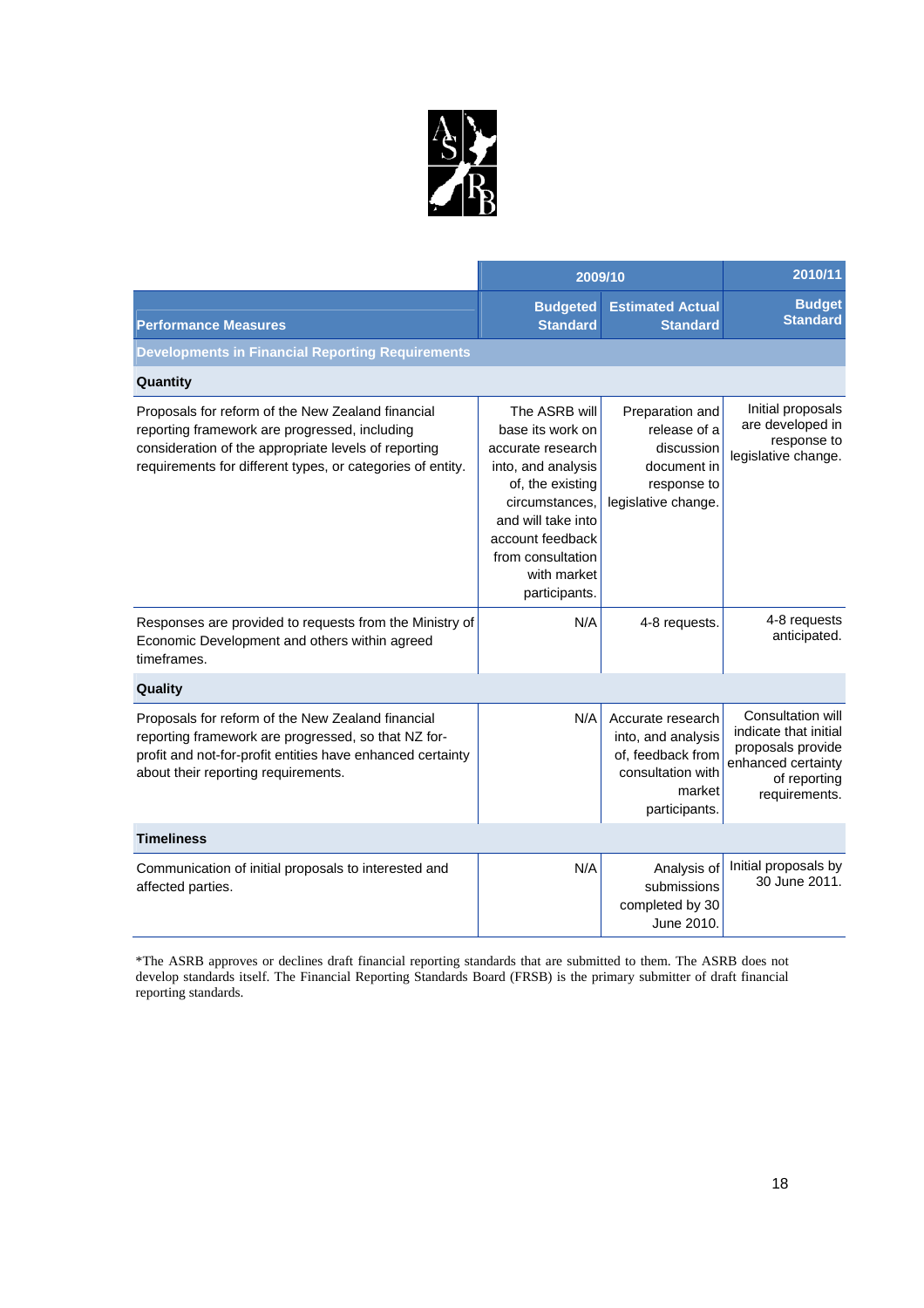

|                                                                                                                                                                                                                          | 2009/10                                                                                                                                                                                                           |                                                                                                              | 2010/11                                                                                                                       |
|--------------------------------------------------------------------------------------------------------------------------------------------------------------------------------------------------------------------------|-------------------------------------------------------------------------------------------------------------------------------------------------------------------------------------------------------------------|--------------------------------------------------------------------------------------------------------------|-------------------------------------------------------------------------------------------------------------------------------|
| <b>Performance Measures</b>                                                                                                                                                                                              | <b>Budgeted</b><br><b>Standard</b>                                                                                                                                                                                | <b>Estimated Actual</b><br><b>Standard</b>                                                                   | <b>Budget</b><br><b>Standard</b>                                                                                              |
| <b>Developments in Financial Reporting Requirements</b>                                                                                                                                                                  |                                                                                                                                                                                                                   |                                                                                                              |                                                                                                                               |
| Quantity                                                                                                                                                                                                                 |                                                                                                                                                                                                                   |                                                                                                              |                                                                                                                               |
| Proposals for reform of the New Zealand financial<br>reporting framework are progressed, including<br>consideration of the appropriate levels of reporting<br>requirements for different types, or categories of entity. | The ASRB will<br>base its work on<br>accurate research<br>into, and analysis<br>of, the existing<br>circumstances,<br>and will take into<br>account feedback<br>from consultation<br>with market<br>participants. | Preparation and<br>release of a<br>discussion<br>document in<br>response to<br>legislative change.           | Initial proposals<br>are developed in<br>response to<br>legislative change.                                                   |
| Responses are provided to requests from the Ministry of<br>Economic Development and others within agreed<br>timeframes.                                                                                                  | N/A                                                                                                                                                                                                               | 4-8 requests.                                                                                                | 4-8 requests<br>anticipated.                                                                                                  |
| Quality                                                                                                                                                                                                                  |                                                                                                                                                                                                                   |                                                                                                              |                                                                                                                               |
| Proposals for reform of the New Zealand financial<br>reporting framework are progressed, so that NZ for-<br>profit and not-for-profit entities have enhanced certainty<br>about their reporting requirements.            | N/A                                                                                                                                                                                                               | Accurate research<br>into, and analysis<br>of, feedback from<br>consultation with<br>market<br>participants. | <b>Consultation will</b><br>indicate that initial<br>proposals provide<br>enhanced certainty<br>of reporting<br>requirements. |
| <b>Timeliness</b>                                                                                                                                                                                                        |                                                                                                                                                                                                                   |                                                                                                              |                                                                                                                               |
| Communication of initial proposals to interested and<br>affected parties.                                                                                                                                                | N/A                                                                                                                                                                                                               | Analysis of<br>submissions<br>completed by 30<br>June 2010.                                                  | Initial proposals by<br>30 June 2011.                                                                                         |

\*The ASRB approves or declines draft financial reporting standards that are submitted to them. The ASRB does not develop standards itself. The Financial Reporting Standards Board (FRSB) is the primary submitter of draft financial reporting standards.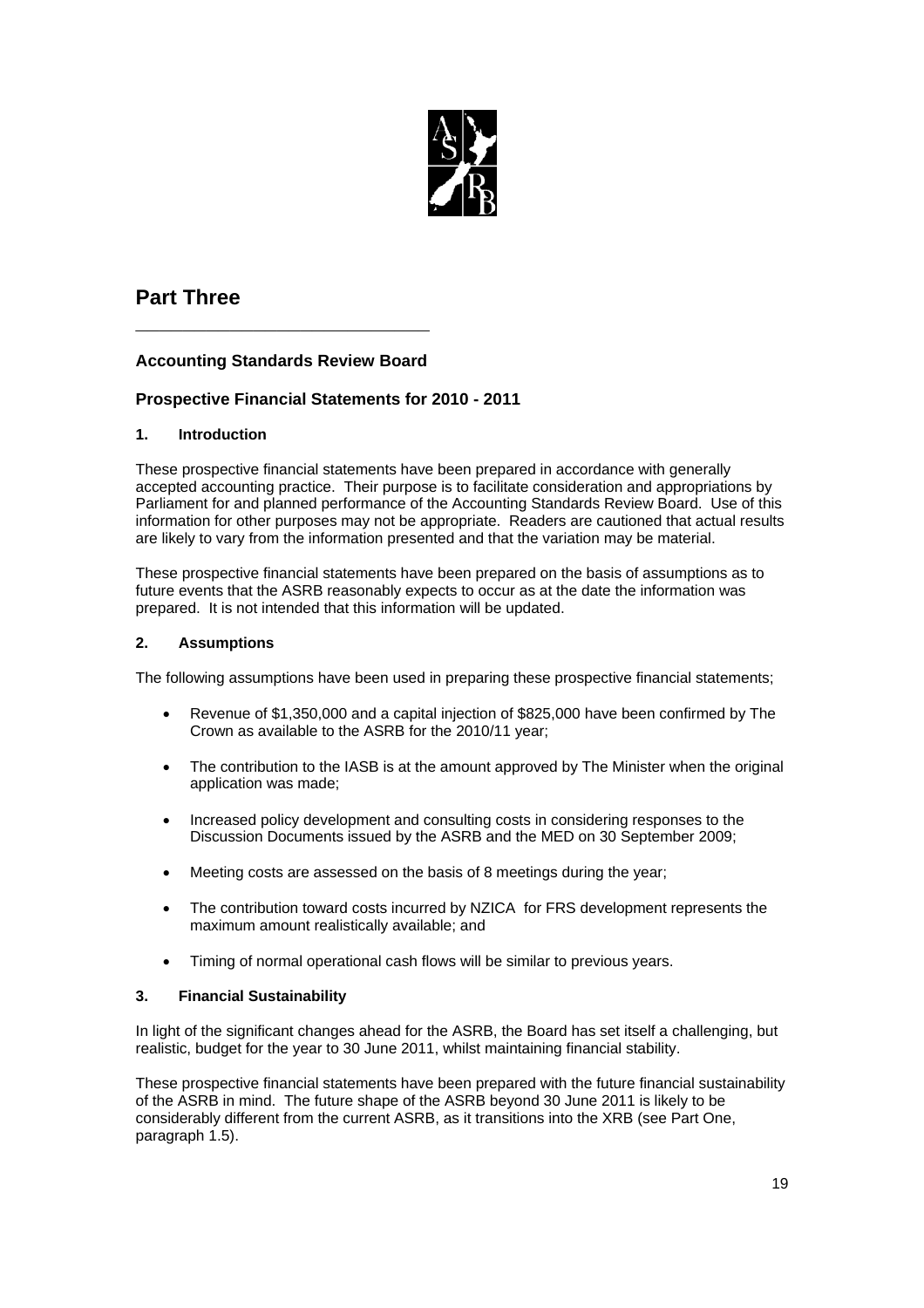

## **Part Three**

## **Accounting Standards Review Board**

**\_\_\_\_\_\_\_\_\_\_\_\_\_\_\_\_\_\_\_\_\_\_\_\_\_**

## **Prospective Financial Statements for 2010 - 2011**

## **1. Introduction**

These prospective financial statements have been prepared in accordance with generally accepted accounting practice. Their purpose is to facilitate consideration and appropriations by Parliament for and planned performance of the Accounting Standards Review Board. Use of this information for other purposes may not be appropriate. Readers are cautioned that actual results are likely to vary from the information presented and that the variation may be material.

These prospective financial statements have been prepared on the basis of assumptions as to future events that the ASRB reasonably expects to occur as at the date the information was prepared. It is not intended that this information will be updated.

## **2. Assumptions**

The following assumptions have been used in preparing these prospective financial statements;

- Revenue of \$1,350,000 and a capital injection of \$825,000 have been confirmed by The Crown as available to the ASRB for the 2010/11 year;
- The contribution to the IASB is at the amount approved by The Minister when the original application was made;
- Increased policy development and consulting costs in considering responses to the Discussion Documents issued by the ASRB and the MED on 30 September 2009;
- Meeting costs are assessed on the basis of 8 meetings during the year;
- The contribution toward costs incurred by NZICA for FRS development represents the maximum amount realistically available; and
- Timing of normal operational cash flows will be similar to previous years.

## **3. Financial Sustainability**

In light of the significant changes ahead for the ASRB, the Board has set itself a challenging, but realistic, budget for the year to 30 June 2011, whilst maintaining financial stability.

These prospective financial statements have been prepared with the future financial sustainability of the ASRB in mind. The future shape of the ASRB beyond 30 June 2011 is likely to be considerably different from the current ASRB, as it transitions into the XRB (see Part One, paragraph 1.5).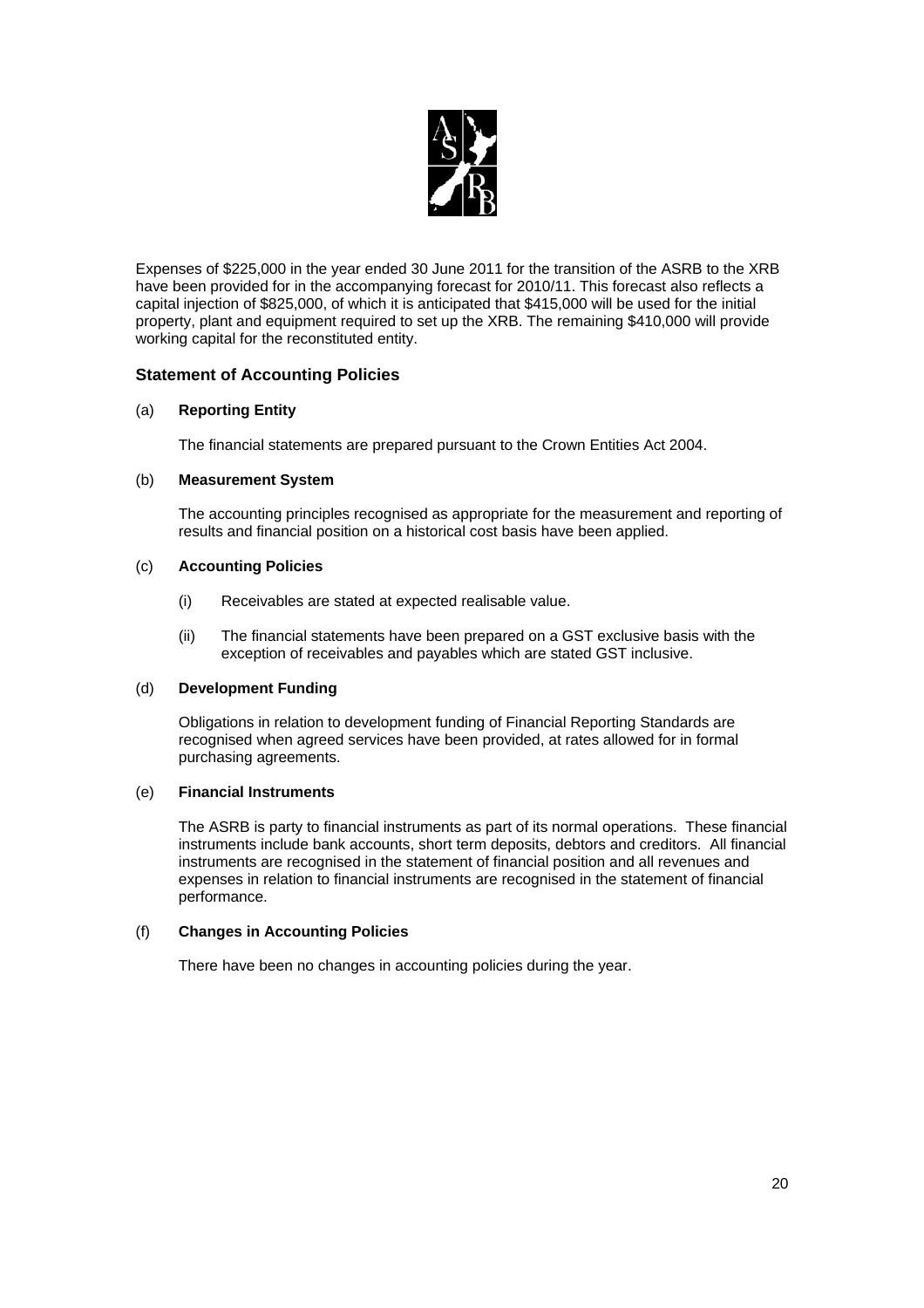

Expenses of \$225,000 in the year ended 30 June 2011 for the transition of the ASRB to the XRB have been provided for in the accompanying forecast for 2010/11. This forecast also reflects a capital injection of \$825,000, of which it is anticipated that \$415,000 will be used for the initial property, plant and equipment required to set up the XRB. The remaining \$410,000 will provide working capital for the reconstituted entity.

## **Statement of Accounting Policies**

## (a) **Reporting Entity**

The financial statements are prepared pursuant to the Crown Entities Act 2004.

#### (b) **Measurement System**

 The accounting principles recognised as appropriate for the measurement and reporting of results and financial position on a historical cost basis have been applied.

#### (c) **Accounting Policies**

- (i) Receivables are stated at expected realisable value.
- (ii) The financial statements have been prepared on a GST exclusive basis with the exception of receivables and payables which are stated GST inclusive.

#### (d) **Development Funding**

 Obligations in relation to development funding of Financial Reporting Standards are recognised when agreed services have been provided, at rates allowed for in formal purchasing agreements.

#### (e) **Financial Instruments**

 The ASRB is party to financial instruments as part of its normal operations. These financial instruments include bank accounts, short term deposits, debtors and creditors. All financial instruments are recognised in the statement of financial position and all revenues and expenses in relation to financial instruments are recognised in the statement of financial performance.

## (f) **Changes in Accounting Policies**

There have been no changes in accounting policies during the year.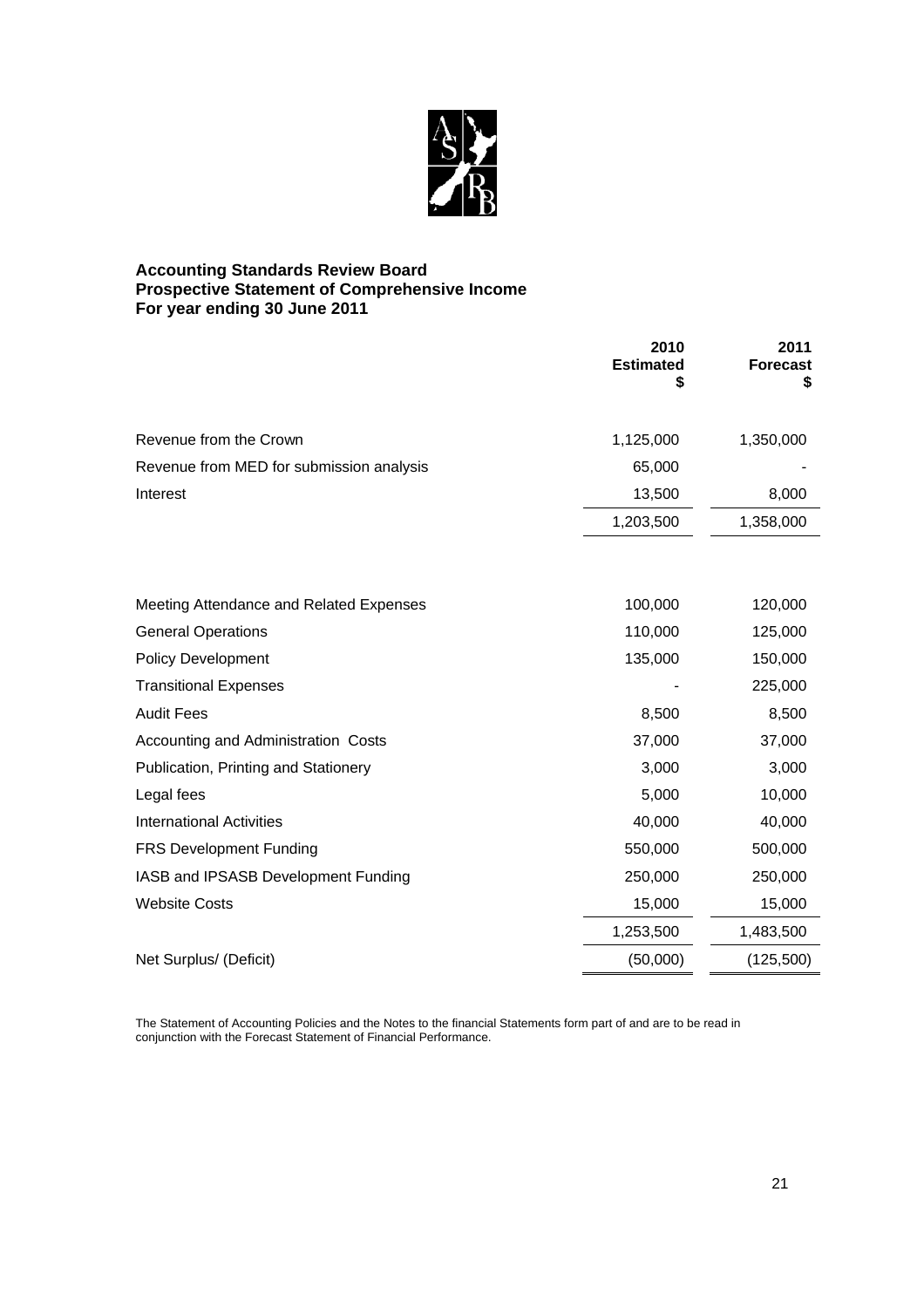

## **Accounting Standards Review Board Prospective Statement of Comprehensive Income For year ending 30 June 2011**

|                                          | 2010<br><b>Estimated</b><br>\$ | 2011<br><b>Forecast</b><br>5 |
|------------------------------------------|--------------------------------|------------------------------|
| Revenue from the Crown                   | 1,125,000                      | 1,350,000                    |
| Revenue from MED for submission analysis | 65,000                         |                              |
| Interest                                 | 13,500                         | 8,000                        |
|                                          | 1,203,500                      | 1,358,000                    |
|                                          |                                |                              |
| Meeting Attendance and Related Expenses  | 100,000                        | 120,000                      |
| <b>General Operations</b>                | 110,000                        | 125,000                      |
| <b>Policy Development</b>                | 135,000                        | 150,000                      |
| <b>Transitional Expenses</b>             |                                | 225,000                      |
| <b>Audit Fees</b>                        | 8,500                          | 8,500                        |
| Accounting and Administration Costs      | 37,000                         | 37,000                       |
| Publication, Printing and Stationery     | 3,000                          | 3,000                        |
| Legal fees                               | 5,000                          | 10,000                       |
| <b>International Activities</b>          | 40,000                         | 40,000                       |
| FRS Development Funding                  | 550,000                        | 500,000                      |
| IASB and IPSASB Development Funding      | 250,000                        | 250,000                      |
| <b>Website Costs</b>                     | 15,000                         | 15,000                       |
|                                          | 1,253,500                      | 1,483,500                    |
| Net Surplus/ (Deficit)                   | (50,000)                       | (125,500)                    |

The Statement of Accounting Policies and the Notes to the financial Statements form part of and are to be read in conjunction with the Forecast Statement of Financial Performance.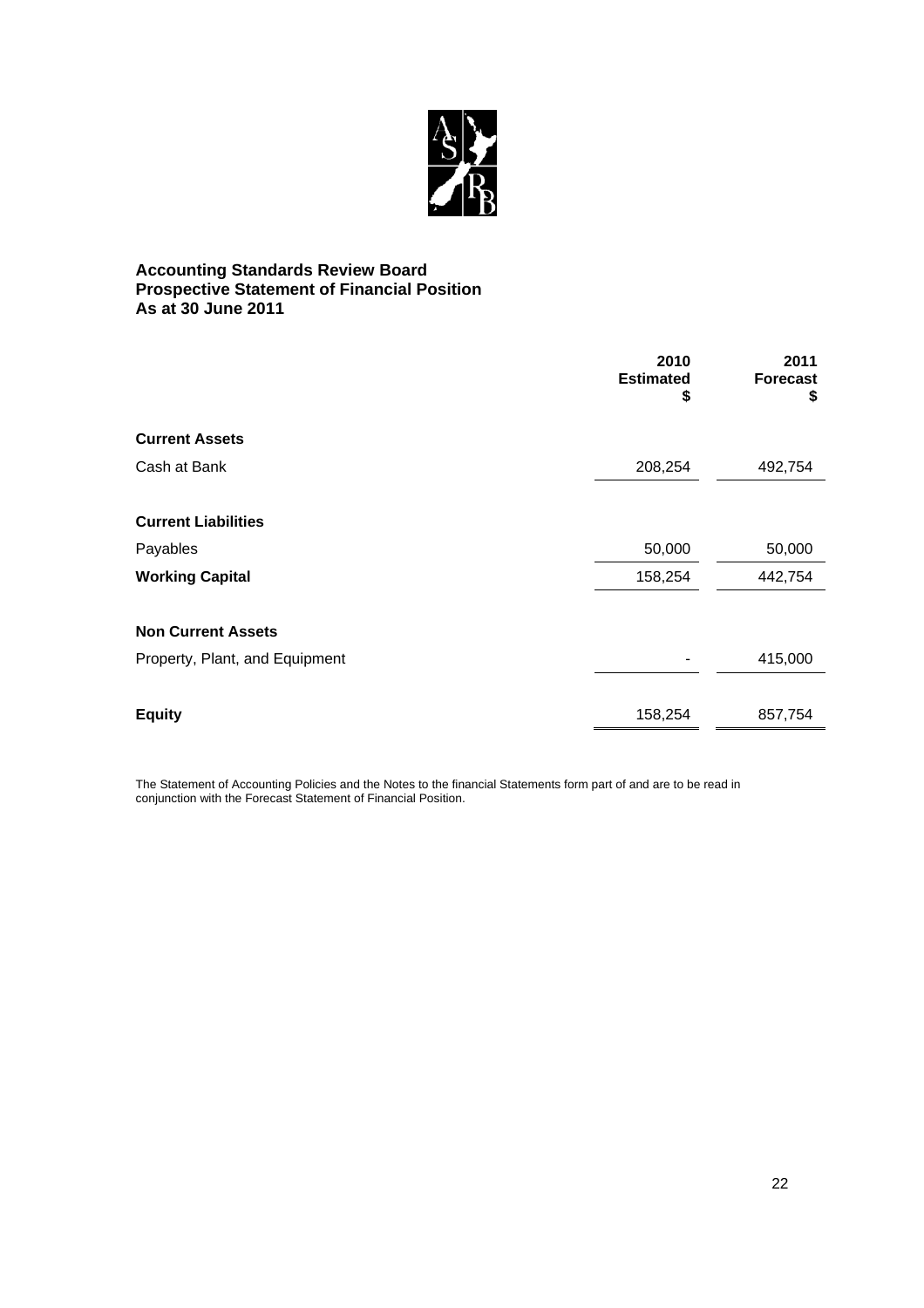

## **Accounting Standards Review Board Prospective Statement of Financial Position As at 30 June 2011**

|                                | 2010<br><b>Estimated</b><br>\$ | 2011<br><b>Forecast</b><br>\$ |
|--------------------------------|--------------------------------|-------------------------------|
| <b>Current Assets</b>          |                                |                               |
| Cash at Bank                   | 208,254                        | 492,754                       |
| <b>Current Liabilities</b>     |                                |                               |
| Payables                       | 50,000                         | 50,000                        |
| <b>Working Capital</b>         | 158,254                        | 442,754                       |
| <b>Non Current Assets</b>      |                                |                               |
| Property, Plant, and Equipment |                                | 415,000                       |
|                                |                                |                               |
| <b>Equity</b>                  | 158,254                        | 857,754                       |

The Statement of Accounting Policies and the Notes to the financial Statements form part of and are to be read in conjunction with the Forecast Statement of Financial Position.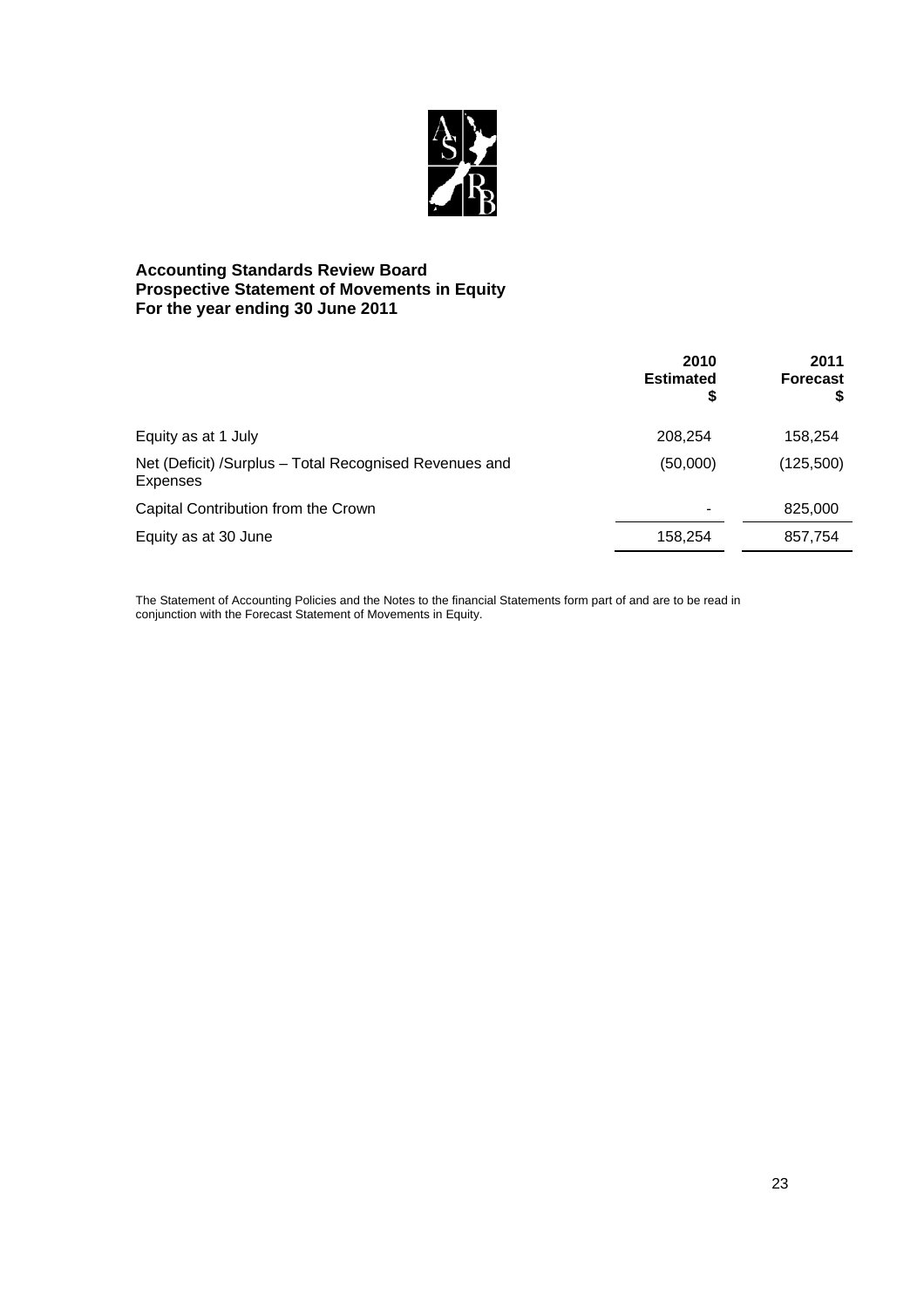

## **Accounting Standards Review Board Prospective Statement of Movements in Equity For the year ending 30 June 2011**

|                                                                    | 2010<br><b>Estimated</b><br>\$ | 2011<br><b>Forecast</b> |
|--------------------------------------------------------------------|--------------------------------|-------------------------|
| Equity as at 1 July                                                | 208,254                        | 158,254                 |
| Net (Deficit) /Surplus - Total Recognised Revenues and<br>Expenses | (50,000)                       | (125,500)               |
| Capital Contribution from the Crown                                |                                | 825,000                 |
| Equity as at 30 June                                               | 158,254                        | 857,754                 |

The Statement of Accounting Policies and the Notes to the financial Statements form part of and are to be read in conjunction with the Forecast Statement of Movements in Equity.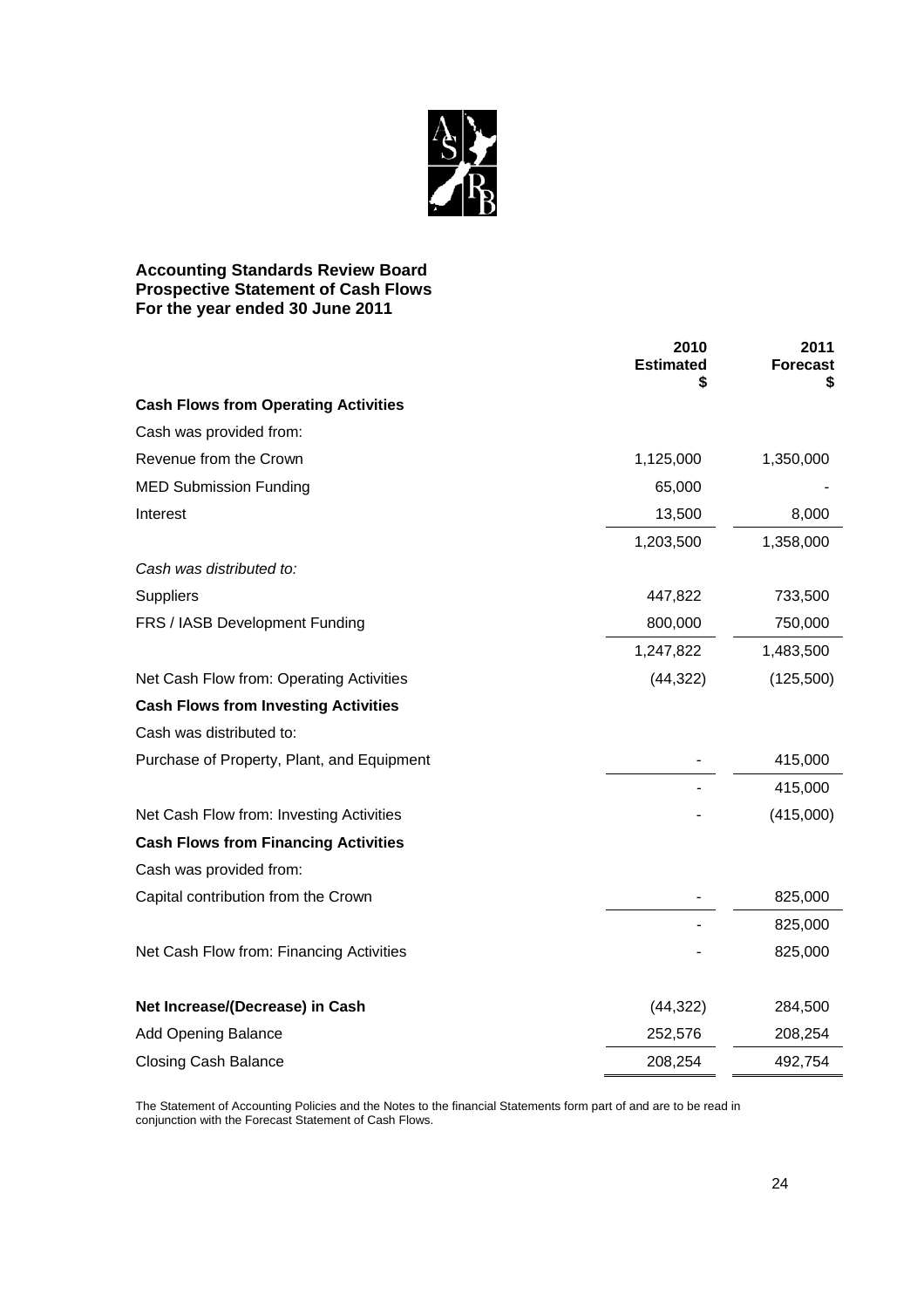

## **Accounting Standards Review Board Prospective Statement of Cash Flows For the year ended 30 June 2011**

|                                             | 2010<br><b>Estimated</b><br>S | 2011<br>Forecast<br>\$ |
|---------------------------------------------|-------------------------------|------------------------|
| <b>Cash Flows from Operating Activities</b> |                               |                        |
| Cash was provided from:                     |                               |                        |
| Revenue from the Crown                      | 1,125,000                     | 1,350,000              |
| <b>MED Submission Funding</b>               | 65,000                        |                        |
| Interest                                    | 13,500                        | 8,000                  |
|                                             | 1,203,500                     | 1,358,000              |
| Cash was distributed to:                    |                               |                        |
| <b>Suppliers</b>                            | 447,822                       | 733,500                |
| FRS / IASB Development Funding              | 800,000                       | 750,000                |
|                                             | 1,247,822                     | 1,483,500              |
| Net Cash Flow from: Operating Activities    | (44, 322)                     | (125,500)              |
| <b>Cash Flows from Investing Activities</b> |                               |                        |
| Cash was distributed to:                    |                               |                        |
| Purchase of Property, Plant, and Equipment  |                               | 415,000                |
|                                             |                               | 415,000                |
| Net Cash Flow from: Investing Activities    |                               | (415,000)              |
| <b>Cash Flows from Financing Activities</b> |                               |                        |
| Cash was provided from:                     |                               |                        |
| Capital contribution from the Crown         |                               | 825,000                |
|                                             |                               | 825,000                |
| Net Cash Flow from: Financing Activities    |                               | 825,000                |
| Net Increase/(Decrease) in Cash             | (44, 322)                     | 284,500                |
| <b>Add Opening Balance</b>                  | 252,576                       | 208,254                |
| <b>Closing Cash Balance</b>                 | 208,254                       | 492,754                |

The Statement of Accounting Policies and the Notes to the financial Statements form part of and are to be read in conjunction with the Forecast Statement of Cash Flows.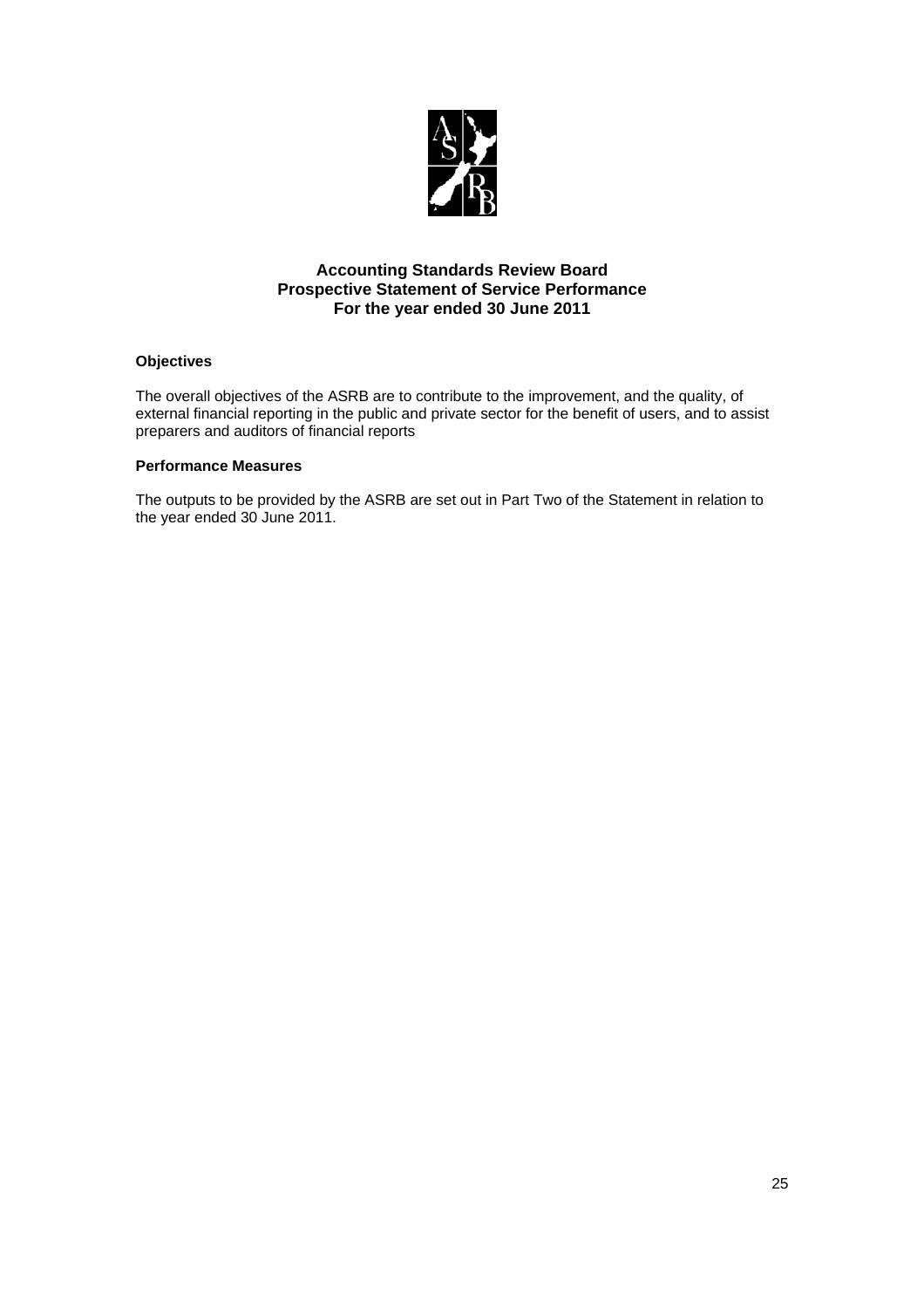

## **Accounting Standards Review Board Prospective Statement of Service Performance For the year ended 30 June 2011**

## **Objectives**

The overall objectives of the ASRB are to contribute to the improvement, and the quality, of external financial reporting in the public and private sector for the benefit of users, and to assist preparers and auditors of financial reports

#### **Performance Measures**

The outputs to be provided by the ASRB are set out in Part Two of the Statement in relation to the year ended 30 June 2011.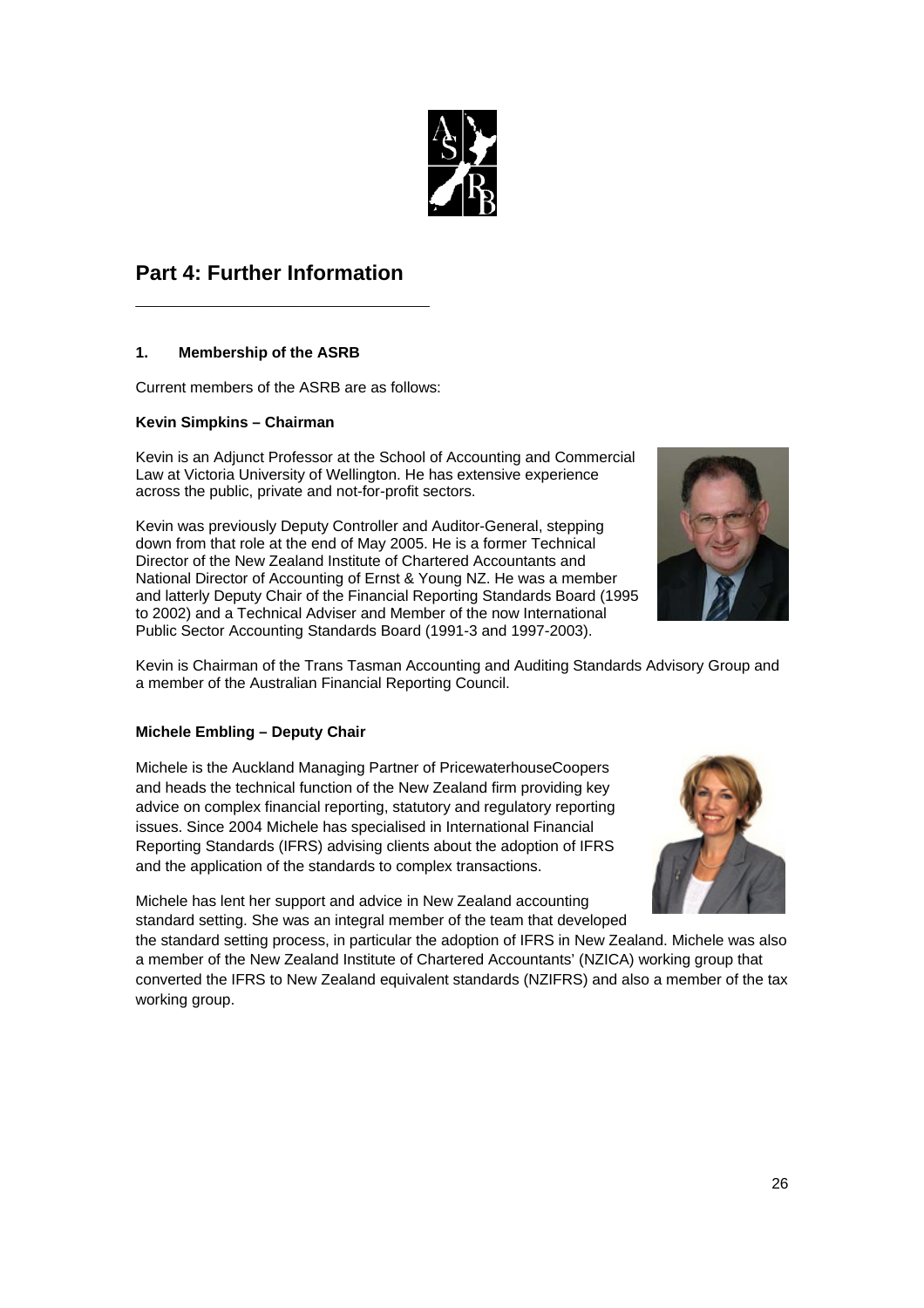

## **Part 4: Further Information**

**\_\_\_\_\_\_\_\_\_\_\_\_\_\_\_\_\_\_\_\_\_\_\_\_\_**

## **1. Membership of the ASRB**

Current members of the ASRB are as follows:

## **Kevin Simpkins – Chairman**

Kevin is an Adjunct Professor at the School of Accounting and Commercial Law at Victoria University of Wellington. He has extensive experience across the public, private and not-for-profit sectors.

Kevin was previously Deputy Controller and Auditor-General, stepping down from that role at the end of May 2005. He is a former Technical Director of the New Zealand Institute of Chartered Accountants and National Director of Accounting of Ernst & Young NZ. He was a member and latterly Deputy Chair of the Financial Reporting Standards Board (1995 to 2002) and a Technical Adviser and Member of the now International Public Sector Accounting Standards Board (1991-3 and 1997-2003).



Kevin is Chairman of the Trans Tasman Accounting and Auditing Standards Advisory Group and a member of the Australian Financial Reporting Council.

## **Michele Embling – Deputy Chair**

Michele is the Auckland Managing Partner of PricewaterhouseCoopers and heads the technical function of the New Zealand firm providing key advice on complex financial reporting, statutory and regulatory reporting issues. Since 2004 Michele has specialised in International Financial Reporting Standards (IFRS) advising clients about the adoption of IFRS and the application of the standards to complex transactions.



Michele has lent her support and advice in New Zealand accounting standard setting. She was an integral member of the team that developed

the standard setting process, in particular the adoption of IFRS in New Zealand. Michele was also a member of the New Zealand Institute of Chartered Accountants' (NZICA) working group that converted the IFRS to New Zealand equivalent standards (NZIFRS) and also a member of the tax working group.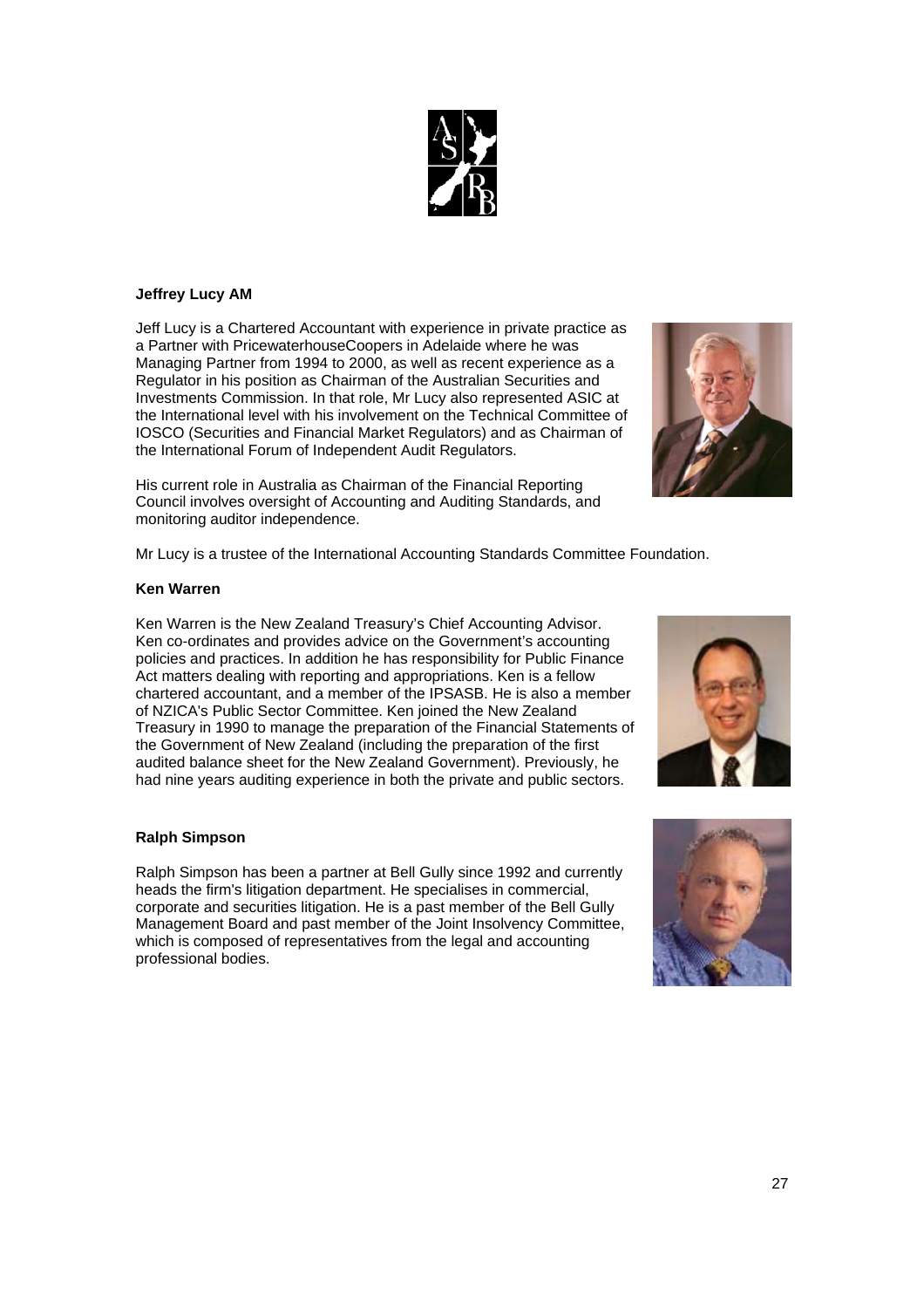27

## **Jeffrey Lucy AM**

Jeff Lucy is a Chartered Accountant with experience in private practice as a Partner with PricewaterhouseCoopers in Adelaide where he was Managing Partner from 1994 to 2000, as well as recent experience as a Regulator in his position as Chairman of the Australian Securities and Investments Commission. In that role, Mr Lucy also represented ASIC at the International level with his involvement on the Technical Committee of IOSCO (Securities and Financial Market Regulators) and as Chairman of the International Forum of Independent Audit Regulators.

His current role in Australia as Chairman of the Financial Reporting Council involves oversight of Accounting and Auditing Standards, and monitoring auditor independence.

Mr Lucy is a trustee of the International Accounting Standards Committee Foundation.

#### **Ken Warren**

Ken Warren is the New Zealand Treasury's Chief Accounting Advisor. Ken co-ordinates and provides advice on the Government's accounting policies and practices. In addition he has responsibility for Public Finance Act matters dealing with reporting and appropriations. Ken is a fellow chartered accountant, and a member of the IPSASB. He is also a member of NZICA's Public Sector Committee. Ken joined the New Zealand Treasury in 1990 to manage the preparation of the Financial Statements of the Government of New Zealand (including the preparation of the first audited balance sheet for the New Zealand Government). Previously, he had nine years auditing experience in both the private and public sectors.

#### **Ralph Simpson**

Ralph Simpson has been a partner at Bell Gully since 1992 and currently heads the firm's litigation department. He specialises in commercial, corporate and securities litigation. He is a past member of the Bell Gully Management Board and past member of the Joint Insolvency Committee, which is composed of representatives from the legal and accounting professional bodies.